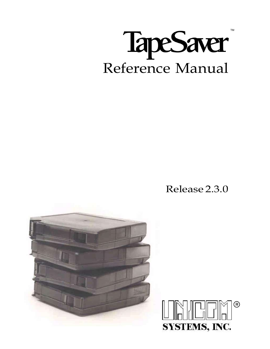

Release 2.3.0



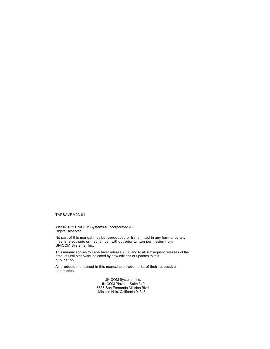TAPSAVRM23-01

©1990-2021 UNICOM Systems®, Incorporated All Rights Reserved

No part of this manual may be reproduced or transmitted in any form or by any means, electronic or mechanical, without prior written permission from UNICOM Systems, Inc.

This manual applies to TapeSaver release 2.3.0 and to all subsequent releases of the product until otherwise indicated by new editions or updates to this publication.

All products mentioned in this manual are trademarks of their respective companies.

> UNICOM Systems, Inc. UNICOM Plaza - Suite 310 15535 San Fernando Mission Blvd. Mission Hills, California 91345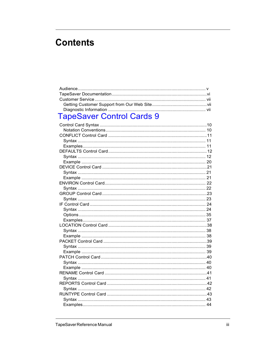# **Contents**

| $\mathbf{r}$ $\alpha$ $\alpha$ $\alpha$ $\alpha$ $\alpha$ |  |
|-----------------------------------------------------------|--|

# TapeSaver Control Cards 9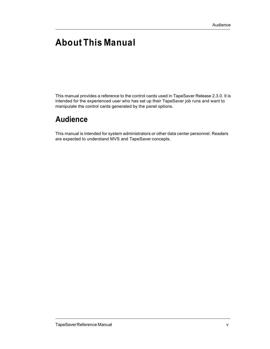# About This Manual

This manual provides a reference to the control cards used in TapeSaver Release 2.3.0. It is intended for the experienced user who has set up their TapeSaver job runs and want to manipulate the control cards generated by the panel options.

# Audience

This manual is intended for system administrators or other data center personnel. Readers are expected to understand MVS and TapeSaver concepts.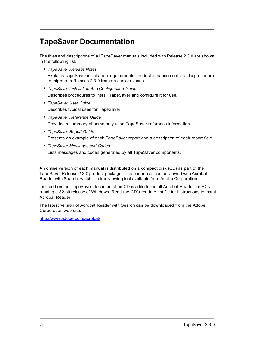# TapeSaver Documentation

The titles and descriptions of all TapeSaver manuals included with Release 2.3.0 are shown in the following list.

• TapeSaver Release Notes

Explains TapeSaver installation requirements, product enhancements, and a procedure to migrate to Release 2.3.0 from an earlier release.

- TapeSaver Installation And Configuration Guide Describes procedures to install TapeSaver and configure it for use.
- TapeSaver User Guide Describes typical uses for TapeSaver.
- TapeSaver Reference Guide Provides a summary of commonly used TapeSaver reference information.
- TapeSaver Report Guide Presents an example of each TapeSaver report and a description of each report field.
- TapeSaver Messages and Codes Lists messages and codes generated by all TapeSaver components.

An online version of each manual is distributed on a compact disk (CD) as part of the TapeSaver Release 2.3.0 product package. These manuals can be viewed with Acrobat Reader with Search, which is a free viewing tool available from Adobe Corporation.

Included on the TapeSaver documentation CD is a file to install Acrobat Reader for PCs running a 32-bit release of Windows. Read the CD's readme.1st file for instructions to install Acrobat Reader.

The latest version of Acrobat Reader with Search can be downloaded from the Adobe Corporation web site:

http://www.adobe.com/acrobat/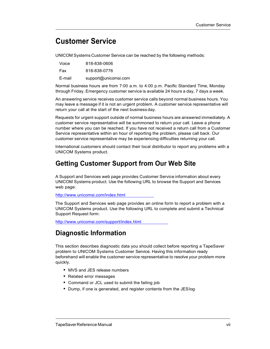## Customer Service

UNICOM Systems Customer Service can be reached by the following methods:

| Voice  | 818-838-0606         |
|--------|----------------------|
| Fax    | 818-838-0776         |
| E-mail | support@unicomsi.com |

Normal business hours are from 7:00 a.m. to 4:00 p.m. Pacific Standard Time, Monday through Friday. Emergency customer service is available 24 hours a day, 7 days a week.

An answering service receives customer service calls beyond normal business hours. You may leave a message if it is not an urgent problem. A customer service representative will return your call at the start of the next business day.

Requests for urgent support outside of normal business hours are answered immediately. A customer service representative will be summoned to return your call. Leave a phone number where you can be reached. If you have not received a return call from a Customer Service representative within an hour of reporting the problem, please call back. Our customer service representative may be experiencing difficulties returning your call.

International customers should contact their local distributor to report any problems with a UNICOM Systems product.

#### Getting Customer Support from Our Web Site

A Support and Services web page provides Customer Service information about every UNICOM Systems product. Use the following URL to browse the Support and Services web page:

http://www.unicomsi.com/index.html

The Support and Services web page provides an online form to report a problem with a UNICOM Systems product. Use the following URL to complete and submit a Technical Support Request form:

http://www.unicomsi.com/support/index.html

#### Diagnostic Information

This section describes diagnostic data you should collect before reporting a TapeSaver problem to UNICOM Systems Customer Service. Having this information ready beforehand will enable the customer service representative to resolve your problem more quickly.

- MVS and JES release numbers
- Related error messages
- Command or JCL used to submit the failing job
- Dump, if one is generated, and register contents from the JESlog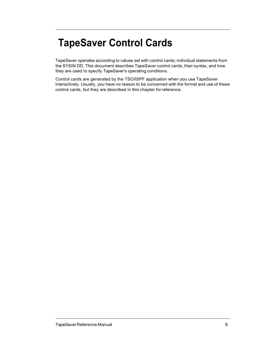# TapeSaver Control Cards

TapeSaver operates according to values set with control cards; individual statements from the SYSIN DD. This document describes TapeSaver control cards, their syntax, and how they are used to specify TapeSaver's operating conditions.

Control cards are generated by the TSO/ISPF application when you use TapeSaver interactively. Usually, you have no reason to be concerned with the format and use of these control cards, but they are described in this chapter for reference.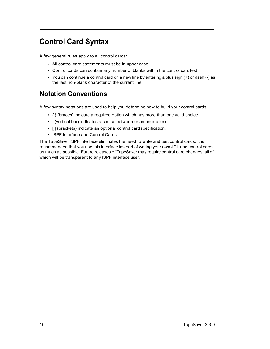# Control Card Syntax

A few general rules apply to all control cards:

- All control card statements must be in upper case.
- Control cards can contain any number of blanks within the control card text
- You can continue a control card on a new line by entering a plus sign (+) or dash (-) as the last non-blank character of the current line.

### Notation Conventions

A few syntax notations are used to help you determine how to build your control cards.

- { } (braces) indicate a required option which has more than one valid choice.
- | (vertical bar) indicates a choice between or among options.
- [ ] (brackets) indicate an optional control card specification.
- ISPF Interface and Control Cards

The TapeSaver ISPF interface eliminates the need to write and test control cards. It is recommended that you use this interface instead of writing your own JCL and control cards as much as possible. Future releases of TapeSaver may require control card changes, all of which will be transparent to any ISPF interface user.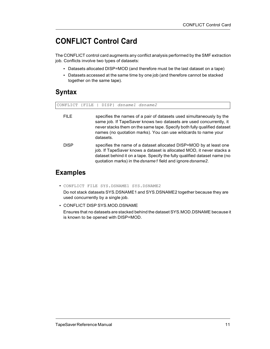# CONFLICT Control Card

The CONFLICT control card augments any conflict analysis performed by the SMF extraction job. Conflicts involve two types of datasets:

- Datasets allocated DISP=MOD (and therefore must be the last dataset on a tape)
- Datasets accessed at the same time by one job (and therefore cannot be stacked together on the same tape).

## **Syntax**

| CONFLICT    | {FILE   DISP} dsname1 dsname2                                                                                                                                                                                                                                                                          |
|-------------|--------------------------------------------------------------------------------------------------------------------------------------------------------------------------------------------------------------------------------------------------------------------------------------------------------|
| <b>FILE</b> | specifies the names of a pair of datasets used simultaneously by the<br>same job. If TapeSaver knows two datasets are used concurrently, it<br>never stacks them on the same tape. Specify both fully qualified dataset<br>names (no quotation marks). You can use wildcards to name your<br>datasets. |
| <b>DISP</b> | specifies the name of a dataset allocated DISP=MOD by at least one<br>job. If TapeSaver knows a dataset is allocated MOD, it never stacks a<br>dataset behind it on a tape. Specify the fully qualified dataset name (no<br>quotation marks) in the dsname1 field and ignore dsname2.                  |
|             |                                                                                                                                                                                                                                                                                                        |

### Examples

• CONFLICT FILE SYS.DSNAME1 SYS.DSNAME2

Do not stack datasets SYS.DSNAME1 and SYS.DSNAME2 together because they are used concurrently by a single job.

• CONFLICT DISP SYS.MOD.DSNAME

Ensures that no datasets are stacked behind the dataset SYS.MOD.DSNAME because it is known to be opened with DISP=MOD.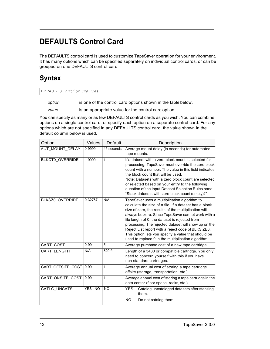# DEFAULTS Control Card

The DEFAULTS control card is used to customize TapeSaver operation for your environment. It has many options which can be specified separately on individual control cards, or can be grouped on one DEFAULTS control card.

## **Syntax**

| DEFAULTS option(value) |
|------------------------|
|------------------------|

option is one of the control card options shown in the table below.

value is an appropriate value for the control card option.

You can specify as many or as few DEFAULTS control cards as you wish. You can combine options on a single control card, or specify each option on a separate control card. For any options which are not specified in any DEFAULTS control card, the value shown in the default column below is used.

| Option                 | Values    | Default    | Description                                                                                                                                                                                                                                                                                                                                                                                                                                                                                       |  |  |
|------------------------|-----------|------------|---------------------------------------------------------------------------------------------------------------------------------------------------------------------------------------------------------------------------------------------------------------------------------------------------------------------------------------------------------------------------------------------------------------------------------------------------------------------------------------------------|--|--|
| AUT_MOUNT_DELAY        | 0-9999    | 45 seconds | Average mount delay (in seconds) for automated<br>tape mounts.                                                                                                                                                                                                                                                                                                                                                                                                                                    |  |  |
| <b>BLKCT0 OVERRIDE</b> | 1-9999    | 1          | If a dataset with a zero block count is selected for<br>processing, TapeSaver must override the zero block<br>count with a number. The value in this field indicates<br>the block count that will be used.<br>Note: Datasets with a zero block count are selected<br>or rejected based on your entry to the following<br>question of the Input Dataset Selection Rules panel:<br>"Stack datasets with zero block count (empty)?"                                                                  |  |  |
| BLKSZ0 OVERRIDE        | 0-32767   | N/A        | TapeSaver uses a multiplication algorithm to<br>calculate the size of a file. If a dataset has a block<br>size of zero, the results of the multiplication will<br>always be zero. Since TapeSaver cannot work with a<br>file length of 0, the dataset is rejected from<br>processing. The rejected dataset will show up on the<br>Reject List report with a reject code of BLKSIZE0.<br>This option lets you specify a value that should be<br>used to replace 0 in the multiplication algorithm. |  |  |
| CART_COST              | $0 - 99$  | 5          | Average purchase cost of a new tape cartridge.                                                                                                                                                                                                                                                                                                                                                                                                                                                    |  |  |
| CART_LENGTH            | N/A       | 520 ft.    | Length of a 3480 or compatible cartridge. You only<br>need to concern yourself with this if you have<br>non-standard cartridges.                                                                                                                                                                                                                                                                                                                                                                  |  |  |
| CART OFFSITE COST      | $ 0 - 99$ | 1          | Average annual cost of storing a tape cartridge<br>offsite (storage, transportation, etc.)                                                                                                                                                                                                                                                                                                                                                                                                        |  |  |
| CART ONSITE COST       | $0 - 99$  | 1          | Average annual cost of storing a tape cartridge in the<br>data center (floor space, racks, etc.)                                                                                                                                                                                                                                                                                                                                                                                                  |  |  |
| CATLG UNCATS           | YES   NO  | <b>NO</b>  | Catalog uncataloged datasets after stacking<br>YES.<br>them.<br><b>NO</b><br>Do not catalog them.                                                                                                                                                                                                                                                                                                                                                                                                 |  |  |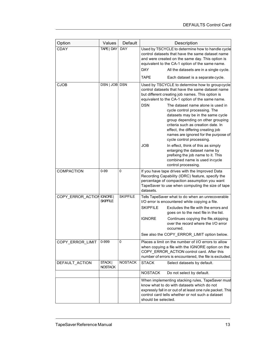| Option            | Values                    | Default         | Description                                                                                                                                                                                                                                                                                                                                                         |  |  |
|-------------------|---------------------------|-----------------|---------------------------------------------------------------------------------------------------------------------------------------------------------------------------------------------------------------------------------------------------------------------------------------------------------------------------------------------------------------------|--|--|
| <b>CDAY</b>       | TAPE   DAY                | <b>DAY</b>      | Used by TSCYCLE to determine how to handle cycle<br>control datasets that have the same dataset name<br>and were created on the same day. This option is<br>equivalent to the CA-1 option of the same name.<br><b>DAY</b><br>All the datasets are in a single cycle.                                                                                                |  |  |
|                   |                           |                 | <b>TAPE</b><br>Each dataset is a separate cycle.                                                                                                                                                                                                                                                                                                                    |  |  |
| <b>CJOB</b>       | DSN   JOB DSN             |                 | Used by TSCYCLE to determine how to groupcycle<br>control datasets that have the same dataset name<br>but different creating job names. This option is<br>equivalent to the CA-1 option of the same name.                                                                                                                                                           |  |  |
|                   |                           |                 | <b>DSN</b><br>The dataset name alone is used in<br>cycle control processing. The<br>datasets may be in the same cycle<br>group depending on other grouping<br>criteria such as creation date. In<br>effect, the differing creating job<br>names are ignored for the purpose of<br>cycle control processing.                                                         |  |  |
|                   |                           |                 | <b>JOB</b><br>In effect, think of this as simply<br>enlarging the dataset name by<br>prefixing the job name to it. This<br>combined name is used incycle<br>control processing.                                                                                                                                                                                     |  |  |
| COMPACTION        | $0 - 99$                  | 0               | If you have tape drives with the Improved Data<br>Recording Capability (IDRC) feature, specify the<br>percentage of compaction assumption you want<br>TapeSaver to use when computing the size of tape<br>datasets.                                                                                                                                                 |  |  |
| COPY_ERROR_ACTION | IGNORE<br>SKIPFILE        | <b>SKIPFILE</b> | Tells TapeSaver what to do when an unrecoverable<br>I/O error is encountered while copying a file.<br><b>SKIPFILE</b><br>Excludes the file with the errors and<br>goes on to the next file in the list.<br><b>IGNORE</b><br>Continues copying the file, skipping<br>over the record where the I/O error<br>occurred.<br>See also the COPY_ERROR_LIMIT option below. |  |  |
| COPY ERROR LIMIT  | 0-999                     | 0               | Places a limit on the number of I/O errors to allow<br>when copying a file with the IGNORE option on the<br>COPY_ERROR_ACTION control card. After this<br>number of errors is encountered, the file is excluded.                                                                                                                                                    |  |  |
| DEFAULT ACTION    | STACK  <br><b>NOSTACK</b> | <b>NOSTACK</b>  | <b>STACK</b><br>Select datasets by default.                                                                                                                                                                                                                                                                                                                         |  |  |
|                   |                           |                 | <b>NOSTACK</b><br>Do not select by default.                                                                                                                                                                                                                                                                                                                         |  |  |
|                   |                           |                 | When implementing stacking rules, TapeSaver must<br>know what to do with datasets which do not<br>expressly fall in or out of at least one rule packet. This<br>control card tells whether or not such a dataset<br>should be selected.                                                                                                                             |  |  |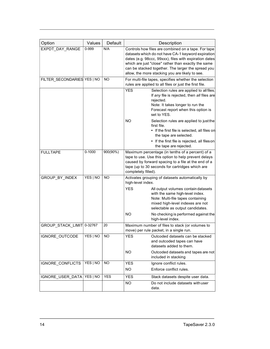| Option                      | Values     | Default     |                                                                                                                                                                                                                                          | Description                                                                                                                                                                                                                                                                                                                         |
|-----------------------------|------------|-------------|------------------------------------------------------------------------------------------------------------------------------------------------------------------------------------------------------------------------------------------|-------------------------------------------------------------------------------------------------------------------------------------------------------------------------------------------------------------------------------------------------------------------------------------------------------------------------------------|
| EXPDT DAY RANGE             | 0-999      | N/A         |                                                                                                                                                                                                                                          | Controls how files are combined on a tape. For tape<br>datasets which do not have CA-1 keyword expiration<br>dates (e.g. 98ccc, 99xxx), files with expiration dates<br>which are just "close" rather than exactly the same<br>can be stacked together. The larger the spread you<br>allow, the more stacking you are likely to see. |
| FILTER_SECONDARIES YES   NO |            | NO          |                                                                                                                                                                                                                                          | For multi-file tapes, specifies whether the selection<br>rules are applied to all files or just the first file.                                                                                                                                                                                                                     |
|                             |            |             | <b>YES</b>                                                                                                                                                                                                                               | Selection rules are applied to all files.<br>If any file is rejected, then all files are<br>rejected.<br>Note: It takes longer to run the<br>Forecast report when this option is<br>set to YES.                                                                                                                                     |
|                             |            |             | NO.                                                                                                                                                                                                                                      | Selection rules are applied to just the<br>first file.<br>• If the first file is selected, all files on<br>the tape are selected.<br>• If the first file is rejected, all fileson<br>the tape are rejected.                                                                                                                         |
| <b>FULLTAPE</b>             | $0 - 1000$ | $900(90\%)$ | Maximum percentage (in tenths of a percent) of a<br>tape to use. Use this option to help prevent delays<br>caused by forward spacing to a file at the end of a<br>tape (up to 30 seconds for cartridges which are<br>completely filled). |                                                                                                                                                                                                                                                                                                                                     |
| GROUP_BY_INDEX              | YES   NO   | <b>NO</b>   | high-level index.<br><b>YES</b><br><b>NO</b>                                                                                                                                                                                             | Activates grouping of datasets automatically by<br>All output volumes contain datasets<br>with the same high-level index.<br>Note: Multi-file tapes containing<br>mixed high-level indexes are not<br>selectable as output candidates.<br>No checking is performed against the<br>high-level index.                                 |
| GROUP_STACK_LIMIT 0-32767   |            | 20          | Maximum number of files to stack (or volumes to<br>move) per rule packet, in a single run.                                                                                                                                               |                                                                                                                                                                                                                                                                                                                                     |
| IGNORE_OUTCODE              | YES   NO   | <b>NO</b>   | <b>YES</b><br>NO.                                                                                                                                                                                                                        | Outcoded datasets can be stacked<br>and outcoded tapes can have<br>datasets added to them.<br>Outcoded datasets and tapes are not<br>included in stacking                                                                                                                                                                           |
| IGNORE_CONFLICTS            | YES   NO   | NO          | <b>YES</b><br>NO.                                                                                                                                                                                                                        | Ignore conflict rules.<br>Enforce conflict rules.                                                                                                                                                                                                                                                                                   |
| IGNORE USER DATA            | YES   NO   | <b>YES</b>  | YES<br><b>NO</b>                                                                                                                                                                                                                         | Stack datasets despite user data.<br>Do not include datasets with user                                                                                                                                                                                                                                                              |
|                             |            |             | data.                                                                                                                                                                                                                                    |                                                                                                                                                                                                                                                                                                                                     |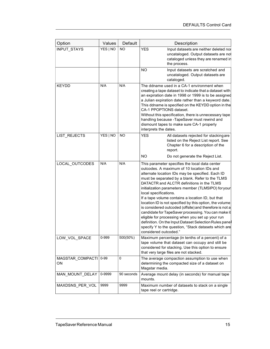| Option                 | Values   | Default    | Description                                                                                                                                                                                                                                                                                                                                                                                                                                                                                                                                                                                                                                                                                                                                                      |  |
|------------------------|----------|------------|------------------------------------------------------------------------------------------------------------------------------------------------------------------------------------------------------------------------------------------------------------------------------------------------------------------------------------------------------------------------------------------------------------------------------------------------------------------------------------------------------------------------------------------------------------------------------------------------------------------------------------------------------------------------------------------------------------------------------------------------------------------|--|
| <b>INPUT STAYS</b>     | YES   NO | <b>NO</b>  | <b>YES</b><br>Input datasets are neither deleted nor<br>uncataloged. Output datasets are not<br>cataloged unless they are renamed in<br>the process.                                                                                                                                                                                                                                                                                                                                                                                                                                                                                                                                                                                                             |  |
|                        |          |            | <b>NO</b><br>Input datasets are scratched and<br>uncataloged. Output datasets are<br>cataloged.                                                                                                                                                                                                                                                                                                                                                                                                                                                                                                                                                                                                                                                                  |  |
| <b>KEYDD</b>           | N/A      | N/A        | The ddname used in a CA-1 environment when<br>creating a tape dataset to indicate that a dataset with<br>an expiration date in 1998 or 1999 is to be assigned<br>a Julian expiration date rather than a keyword date.<br>This ddname is specified on the KEYDD option in the<br>CA-1 PPOPTIONS dataset.<br>Without this specification, there is unnecessary tape<br>handling because -TapeSaver must rewind and<br>dismount tapes to make sure CA-1 properly<br>interprets the dates.                                                                                                                                                                                                                                                                            |  |
| LIST_REJECTS           | YES   NO | NO         | <b>YES</b><br>All datasets rejected for stacking are<br>listed on the Reject List report. See<br>Chapter 6 for a description of the<br>report.<br>NO.<br>Do not generate the Reject List.                                                                                                                                                                                                                                                                                                                                                                                                                                                                                                                                                                        |  |
| LOCAL_OUTCODES         | N/A      | N/A        | This parameter specifies the local data center<br>outcodes. A maximum of 10 location IDs and<br>alternate location IDs may be specified. Each ID<br>must be separated by a blank. Refer to the TLMS<br>DATACTR and ALCTR definitions in the TLMS<br>initialization parameters member (TLMSIPO) for your<br>local specifications.<br>If a tape volume contains a location ID, but that<br>location ID is not specified by this option, the volume<br>is considered outcoded (offsite) and therefore is not a<br>candidate for TapeSaver processing. You can make it<br>eligible for processing when you set up your run<br>definition. On the Input Dataset Selection Rules pane<br>specify Y to the question, "Stack datasets which are<br>considered outcoded." |  |
| LOW_VOL_SPACE          | 0-999    | 500(50%)   | Maximum percentage (in tenths of a percent) of a<br>tape volume that dataset can occupy and still be<br>considered for stacking. Use this option to ensure<br>that very large files are not stacked.                                                                                                                                                                                                                                                                                                                                                                                                                                                                                                                                                             |  |
| MAGSTAR_COMPACTI<br>ON | $0 - 99$ | 0          | The average compaction assumption to use when<br>determining the compacted size of a dataset on<br>Magstar media.                                                                                                                                                                                                                                                                                                                                                                                                                                                                                                                                                                                                                                                |  |
| MAN MOUNT DELAY        | 0-9999   | 90 seconds | Average mount delay (in seconds) for manual tape<br>mounts.                                                                                                                                                                                                                                                                                                                                                                                                                                                                                                                                                                                                                                                                                                      |  |
| MAXDSNS_PER_VOL        | 9999     | 9999       | Maximum number of datasets to stack on a single<br>tape reel or cartridge.                                                                                                                                                                                                                                                                                                                                                                                                                                                                                                                                                                                                                                                                                       |  |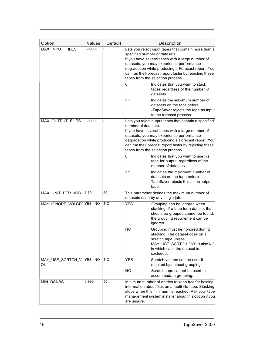| Option                     | Values   | Default | Description                                                                                                                                                                                                                                                                                                                                                                                                                                                                   |
|----------------------------|----------|---------|-------------------------------------------------------------------------------------------------------------------------------------------------------------------------------------------------------------------------------------------------------------------------------------------------------------------------------------------------------------------------------------------------------------------------------------------------------------------------------|
| MAX_INPUT_FILES            | 0-99999  | 0       | Lets you reject input tapes that contain more than a<br>specified number of datasets.<br>If you have several tapes with a large number of<br>datasets, you may experience performance<br>degradation while producing a Forecast report. You<br>can run the Forecast report faster by rejecting these<br>tapes from the selection process.<br>0<br>Indicates that you want to stack<br>tapes regardless of the number of<br>datasets.<br>Indicates the maximum number of<br>nn |
|                            |          |         | datasets on the tape before<br>-TapeSaver rejects the tape as input<br>to the forecast process.                                                                                                                                                                                                                                                                                                                                                                               |
| MAX_OUTPUT_FILES           | 0-99999  | 0       | Lets you reject output tapes that contain a specified<br>number of datasets.<br>If you have several tapes with a large number of<br>datasets, you may experience performance<br>degradation while producing a Forecast report. You<br>can run the Forecast report faster by rejecting these<br>tapes from the selection process.                                                                                                                                              |
|                            |          |         | Indicates that you want to usethis<br>0<br>tape for output, regardless of the<br>number of datasets                                                                                                                                                                                                                                                                                                                                                                           |
|                            |          |         | Indicates the maximum number of<br>nn<br>datasets on the tape before<br>TapeSaver rejects this as an output<br>tape.                                                                                                                                                                                                                                                                                                                                                          |
| MAX_UNIT_PER_JOB           | 1-60     | 60      | This parameter defines the maximum number of<br>datasets used by any single job.                                                                                                                                                                                                                                                                                                                                                                                              |
| MAY_IGNORE_VOLGRF YES   NO |          | NO      | <b>YES</b><br>Grouping can be ignored when<br>stacking. If a tape for a dataset that<br>should be grouped cannot be found,<br>the grouping requirement can be<br>ignored.                                                                                                                                                                                                                                                                                                     |
|                            |          |         | <b>NO</b><br>Grouping must be honored during<br>stacking. The dataset goes on a<br>scratch tape unless<br>MAY_USE_SCRTCH_VOL is also NO<br>in which case the dataset is<br>excluded.                                                                                                                                                                                                                                                                                          |
| MAY_USE_SCRTCH_V<br>OL     | YES   NO | NO.     | <b>YES</b><br>Scratch volume can be used if<br>required by dataset grouping.<br>NO<br>Scratch tape cannot be used to                                                                                                                                                                                                                                                                                                                                                          |
|                            |          |         | accommodate grouping.                                                                                                                                                                                                                                                                                                                                                                                                                                                         |
| <b>MIN DSNBS</b>           | 0-999    | 50      | Minimum number of entries to keep free for holding<br>information about files on a multi-file tape. Stacking<br>stops when this minimum is reached. Ask your tape<br>management system installer about this option if you<br>are unsure.                                                                                                                                                                                                                                      |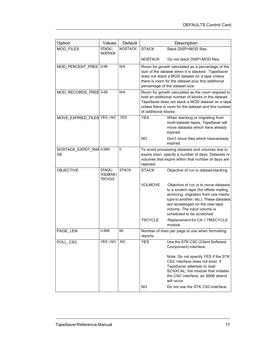| Option                               | Values                               | Default        | Description                                                                                                                                                                                                                                        |                                                                                                                                                                                                                                                                  |  |
|--------------------------------------|--------------------------------------|----------------|----------------------------------------------------------------------------------------------------------------------------------------------------------------------------------------------------------------------------------------------------|------------------------------------------------------------------------------------------------------------------------------------------------------------------------------------------------------------------------------------------------------------------|--|
| MOD_FILES                            | STACK  <br><b>NOSTACK</b>            | <b>NOSTACK</b> | <b>STACK</b>                                                                                                                                                                                                                                       | Stack DISP=MOD files.                                                                                                                                                                                                                                            |  |
|                                      |                                      |                | <b>NOSTACK</b>                                                                                                                                                                                                                                     | Do not stack DISP=MOD files.                                                                                                                                                                                                                                     |  |
| MOD_PERCENT_FREE 0-99                |                                      | N/A            | Room for growth calculated as a percentage of the<br>size of the dataset when it is stacked. - TapeSaver<br>does not stack a MOD dataset on a tape unless<br>there is room for the dataset plus this additional<br>percentage of the dataset size. |                                                                                                                                                                                                                                                                  |  |
| MOD_RECORDS_FREE 0-99                |                                      | N/A            | Room for growth calculated as the room required to<br>hold an additional number of blocks in the dataset.<br>TapeSaver does not stack a MOD dataset on a tape<br>unless there is room for the dataset and this number<br>of additional blocks.     |                                                                                                                                                                                                                                                                  |  |
| MOVE_EXPIRED_FILES YES   NO          |                                      | <b>YES</b>     | <b>YES</b>                                                                                                                                                                                                                                         | When stacking or migrating from<br>multi-dataset tapes, TapeSaver will<br>move datasets which have already<br>expired.                                                                                                                                           |  |
|                                      |                                      |                | <b>NO</b>                                                                                                                                                                                                                                          | Don't move files which havealready<br>expired.                                                                                                                                                                                                                   |  |
| NOSTACK_EXPDT_RAN 0-999<br><b>GE</b> |                                      | 0              | To avoid processing datasets and volumes due to<br>expire soon, specify a number of days. Datasets or<br>volumes that expire within that number of days are<br>rejected.                                                                           |                                                                                                                                                                                                                                                                  |  |
| <b>OBJECTIVE</b>                     | STACK  <br>VOLMOVE<br><b>TSCYCLE</b> | <b>STACK</b>   | <b>STACK</b>                                                                                                                                                                                                                                       | Objective of run is dataset stacking.                                                                                                                                                                                                                            |  |
|                                      |                                      |                | <b>VOLMOVE</b>                                                                                                                                                                                                                                     | Objective of run is to move datasets<br>to a scratch tape (for offsite mailing,<br>archiving, migration from one media<br>type to another, etc.). These datasets<br>are recataloged on the new tape<br>volume. The input volume is<br>scheduled to be scratched. |  |
|                                      |                                      |                | <b>TSCYCLE</b>                                                                                                                                                                                                                                     | Replacement for CA-1 TMSCYCLE<br>module.                                                                                                                                                                                                                         |  |
| PAGE_LEN                             | 0-999                                | 60             | reports.                                                                                                                                                                                                                                           | Number of lines per page to use when formatting                                                                                                                                                                                                                  |  |
| POLL CSC                             | YES   NO                             | NO.            | <b>YES</b>                                                                                                                                                                                                                                         | Use the STK CSC (Client Software<br>Component) interface.                                                                                                                                                                                                        |  |
|                                      |                                      |                |                                                                                                                                                                                                                                                    | Note: Do not specify YES if the STK<br>CSC interface does not exist. If<br>TapeSaver attempts to load<br>SCSXCAL, the module that initiates<br>the CSC interface, an S806 abend<br>will occur.                                                                   |  |
|                                      |                                      |                | <b>NO</b>                                                                                                                                                                                                                                          | Do not use the STK CSC interface.                                                                                                                                                                                                                                |  |
|                                      |                                      |                |                                                                                                                                                                                                                                                    |                                                                                                                                                                                                                                                                  |  |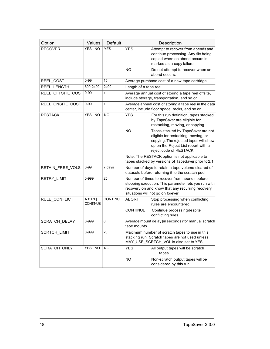| Option               | Values                     | Default<br><b>YES</b> | Description                                                                                                                                                                                                         |
|----------------------|----------------------------|-----------------------|---------------------------------------------------------------------------------------------------------------------------------------------------------------------------------------------------------------------|
| <b>RECOVER</b>       | YES   NO                   |                       | <b>YES</b><br>Attempt to recover from abends and<br>continue processing. Any file being<br>copied when an abend occurs is<br>marked as a copy failure.<br>NO.<br>Do not attempt to recover when an<br>abend occurs. |
| REEL COST            | $0 - 99$                   | 15                    | Average purchase cost of a new tape cartridge.                                                                                                                                                                      |
| REEL_LENGTH          | 800-2400                   | 2400                  | Length of a tape reel.                                                                                                                                                                                              |
| REEL_OFFSITE_COST    | $0 - 99$                   | 1                     | Average annual cost of storing a tape reel offsite,<br>include storage, transportation, and so on.                                                                                                                  |
| REEL_ONSITE_COST     | $0 - 99$                   | $\mathbf{1}$          | Average annual cost of storing a tape reel in the data<br>center, include floor space, racks, and so on.                                                                                                            |
| <b>RESTACK</b>       | YES   NO                   | <b>NO</b>             | <b>YES</b><br>For this run definition, tapes stacked<br>by TapeSaver are eligible for<br>restacking, moving, or copying.<br><b>NO</b><br>Tapes stacked by TapeSaver are not<br>eligible for restacking, moving, or  |
|                      |                            |                       | copying. The rejected tapes will show<br>up on the Reject List report with a<br>reject code of RESTACK.<br>Note: The RESTACK option is not applicable to                                                            |
|                      |                            |                       | tapes stacked by versions of TapeSaver prior to 2.1.                                                                                                                                                                |
| RETAIN FREE VOLS     | $0 - 99$                   | $\overline{7}$ days   | Number of days to retain a tape volume cleared of<br>datasets before returning it to the scratch pool.                                                                                                              |
| RETRY_LIMIT          | 0-999                      | 25                    | Number of times to recover from abends before<br>stopping execution. This parameter lets you run with<br>recovery on and know that any recurring recovery<br>situations will not go on forever.                     |
| RULE_CONFLICT        | ABORT  <br><b>CONTINUE</b> | <b>CONTINUE</b>       | <b>ABORT</b><br>Stop processing when conflicting<br>rules are encountered.                                                                                                                                          |
|                      |                            |                       | CONTINUE<br>Continue processing despite<br>conflicting rules.                                                                                                                                                       |
| <b>SCRATCH DELAY</b> | 0-999                      | 0                     | Average mount delay (in seconds) for manual scratch<br>tape mounts.                                                                                                                                                 |
| SCRTCH_LIMIT         | 0-999                      | 20                    | Maximum number of scratch tapes to use in this<br>stacking run. Scratch tapes are not used unless<br>MAY_USE_SCRTCH_VOL is also set to YES.                                                                         |
| SCRATCH_ONLY         | YES   NO                   | <b>NO</b>             | <b>YES</b><br>All output tapes will be scratch<br>tapes.                                                                                                                                                            |
|                      |                            |                       | ΝO<br>Non-scratch output tapes will be<br>considered by this run.                                                                                                                                                   |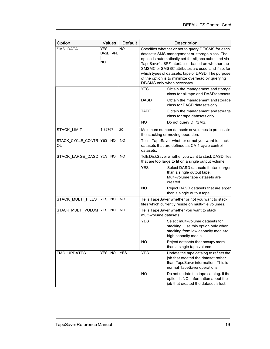| Option                            | Values                                 | Default   |                        | Description                                                                                                                                                                                                                                                                                                                                                                                                        |
|-----------------------------------|----------------------------------------|-----------|------------------------|--------------------------------------------------------------------------------------------------------------------------------------------------------------------------------------------------------------------------------------------------------------------------------------------------------------------------------------------------------------------------------------------------------------------|
| SMS_DATA                          | YES  <br><b>DASD TAPE</b><br><b>NO</b> | <b>NO</b> |                        | Specifies whether or not to query DF/SMS for each<br>dataset's SMS management or storage class. The<br>option is automatically set for all jobs submitted via<br>TapeSaver's ISPF interface - based on whether the<br>SMSMC or SMSSC attributes are used, and if so, for<br>which types of datasets: tape or DASD. The purpose<br>of the option is to minimize overhead by querying<br>DF/SMS only when necessary. |
|                                   |                                        |           | <b>YES</b>             | Obtain the management and storage<br>class for all tape and DASD datasets                                                                                                                                                                                                                                                                                                                                          |
|                                   |                                        |           | DASD                   | Obtain the management and storage<br>class for DASD datasets only.                                                                                                                                                                                                                                                                                                                                                 |
|                                   |                                        |           | <b>TAPE</b>            | Obtain the management and storage<br>class for tape datasets only.                                                                                                                                                                                                                                                                                                                                                 |
|                                   |                                        |           | NO.                    | Do not query DF/SMS.                                                                                                                                                                                                                                                                                                                                                                                               |
| STACK_LIMIT                       | 1-32767                                | 20        |                        | Maximum number datasets or volumes to process in<br>the stacking or moving operation.                                                                                                                                                                                                                                                                                                                              |
| STACK_CYCLE_CONTR YES   NO<br>OL  |                                        | <b>NO</b> | datasets.              | Tells -TapeSaver whether or not you want to stack<br>datasets that are defined as CA-1 cycle control                                                                                                                                                                                                                                                                                                               |
| STACK_LARGE_DASD YES   NO         |                                        | <b>NO</b> | <b>YES</b>             | Tells DiskSaver whether you want to stack DASD files<br>that are too large to fit on a single output volume.<br>Select DASD datasets thatare larger<br>than a single output tape.<br>Multi-volume tape datasets are<br>created.                                                                                                                                                                                    |
|                                   |                                        |           | <b>NO</b>              | Reject DASD datasets that arelarger<br>than a single output tape.                                                                                                                                                                                                                                                                                                                                                  |
| STACK MULTI FILES                 | YES   NO                               | <b>NO</b> |                        | Tells TapeSaver whether or not you want to stack<br>files which currently reside on multi-file volumes.                                                                                                                                                                                                                                                                                                            |
| STACK_MULTI_VOLUM   YES   NO<br>Е |                                        | <b>NO</b> | multi-volume datasets. | Tells TapeSaver whether you want to stack                                                                                                                                                                                                                                                                                                                                                                          |
|                                   |                                        |           | <b>YES</b>             | Select multi-volume datasets for<br>stacking. Use this option only when<br>stacking from low capacity mediato<br>high capacity media.                                                                                                                                                                                                                                                                              |
|                                   |                                        |           | <b>NO</b>              | Reject datasets that occupy more<br>than a single tape volume.                                                                                                                                                                                                                                                                                                                                                     |
| TMC_UPDATES                       | YES   NO                               | YES       | <b>YES</b>             | Update the tape catalog to reflect the<br>job that created the dataset rather<br>than TapeSaver information. This is<br>normal TapeSaver operations                                                                                                                                                                                                                                                                |
|                                   |                                        |           | <b>NO</b>              | Do not update the tape catalog. If the<br>option is NO, information about the<br>job that created the dataset is lost.                                                                                                                                                                                                                                                                                             |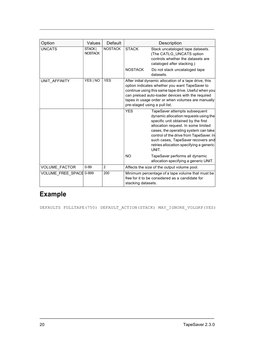| Option                  | Values                    | Default        |                         | Description                                                                                                                                                                                                                                                                                                                                                         |
|-------------------------|---------------------------|----------------|-------------------------|---------------------------------------------------------------------------------------------------------------------------------------------------------------------------------------------------------------------------------------------------------------------------------------------------------------------------------------------------------------------|
| <b>UNCATS</b>           | STACK  <br><b>NOSTACK</b> | <b>NOSTACK</b> | <b>STACK</b>            | Stack uncataloged tape datasets.<br>(The CATLG UNCATS option<br>controls whether the datasets are<br>cataloged after stacking.)                                                                                                                                                                                                                                     |
|                         |                           |                | <b>NOSTACK</b>          | Do not stack uncataloged tape<br>datasets.                                                                                                                                                                                                                                                                                                                          |
| UNIT AFFINITY           | YES   NO                  | <b>YES</b>     |                         | After initial dynamic allocation of a tape drive, this<br>option indicates whether you want TapeSaver to<br>continue using this same tape drive. Useful when you<br>can preload auto-loader devices with the required<br>tapes in usage order or when volumes are manually<br>pre-staged using a pull list.                                                         |
|                         |                           |                | <b>YES</b><br><b>NO</b> | TapeSaver attempts subsequent<br>dynamic allocation requests using the<br>specific unit obtained by the first<br>allocation request. In some limited<br>cases, the operating system can take<br>control of the drive from TapeSaver. In<br>such cases, TapeSaver recovers and<br>retries allocation specifying a generic<br>UNIT.<br>TapeSaver performs all dynamic |
|                         |                           |                |                         | allocation specifying a generic UNIT.                                                                                                                                                                                                                                                                                                                               |
| VOLUME_FACTOR           | $0 - 99$                  | $\overline{2}$ |                         | Affects the size of the output volume pool.                                                                                                                                                                                                                                                                                                                         |
| VOLUME FREE SPACE 0-999 |                           | 200            | stacking datasets.      | Minimum percentage of a tape volume that must be<br>free for it to be considered as a candidate for                                                                                                                                                                                                                                                                 |

# Example

DEFAULTS FULLTAPE(750) DEFAULT\_ACTION(STACK) MAY\_IGNORE\_VOLGRP(YES)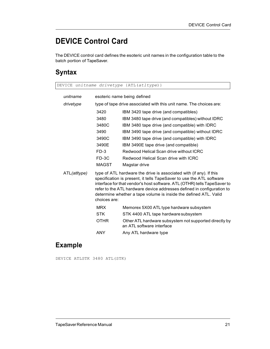# DEVICE Control Card

The DEVICE control card defines the esoteric unit names in the configuration table to the batch portion of TapeSaver.

#### Syntax

DEVICE unitname drivetype {ATL(atltype)}

| unitname     |              | esoteric name being defined                                                                                                                                                                                                                                                                                                                                           |
|--------------|--------------|-----------------------------------------------------------------------------------------------------------------------------------------------------------------------------------------------------------------------------------------------------------------------------------------------------------------------------------------------------------------------|
| drivetype    |              | type of tape drive associated with this unit name. The choices are:                                                                                                                                                                                                                                                                                                   |
|              | 3420         | IBM 3420 tape drive (and compatibles)                                                                                                                                                                                                                                                                                                                                 |
|              | 3480         | IBM 3480 tape drive (and compatibles) without IDRC                                                                                                                                                                                                                                                                                                                    |
|              | 3480C        | IBM 3480 tape drive (and compatible) with IDRC                                                                                                                                                                                                                                                                                                                        |
|              | 3490         | IBM 3490 tape drive (and compatible) without IDRC                                                                                                                                                                                                                                                                                                                     |
|              | 3490C        | IBM 3490 tape drive (and compatible) with IDRC                                                                                                                                                                                                                                                                                                                        |
|              | 3490E        | IBM 3490E tape drive (and compatible)                                                                                                                                                                                                                                                                                                                                 |
|              | $FD-3$       | Redwood Helical Scan drive without ICRC                                                                                                                                                                                                                                                                                                                               |
|              | FD-3C        | Redwood Helical Scan drive with ICRC                                                                                                                                                                                                                                                                                                                                  |
|              | <b>MAGST</b> | Magstar drive                                                                                                                                                                                                                                                                                                                                                         |
| ATL(atltype) | choices are: | type of ATL hardware the drive is associated with (if any). If this<br>specification is present, it tells TapeSaver to use the ATL software<br>interface for that vendor's host software. ATL (OTHR) tells TapeSaver to<br>refer to the ATL hardware device addresses defined in configuration to<br>determine whether a tape volume is inside the defined ATL. Valid |
|              | <b>MRX</b>   | Memorex 5X00 ATL type hardware subsystem                                                                                                                                                                                                                                                                                                                              |
|              | <b>STK</b>   | STK 4400 ATL tape hardware subsystem                                                                                                                                                                                                                                                                                                                                  |
|              | <b>OTHR</b>  | Other ATL hardware subsystem not supported directly by<br>an ATL software interface                                                                                                                                                                                                                                                                                   |
|              | <b>ANY</b>   | Any ATL hardware type                                                                                                                                                                                                                                                                                                                                                 |

### Example

DEVICE ATLSTK 3480 ATL(STK)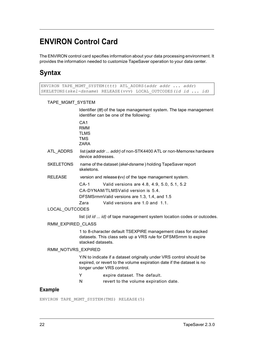# ENVIRON Control Card

The ENVIRON control card specifies information about your data processing environment. It provides the information needed to customize TapeSaver operation to your data center.

#### **Syntax**

|                    | ENVIRON TAPE MGMT SYSTEM(ttt) ATL ADDRS(addr addr  addr)<br>SKELETONS (skel-dsname) RELEASE (vvv) LOCAL OUTCODES (id id  id)                                                          |
|--------------------|---------------------------------------------------------------------------------------------------------------------------------------------------------------------------------------|
| TAPE_MGMT_SYSTEM   |                                                                                                                                                                                       |
|                    | Identifier (ttt) of the tape management system. The tape management<br>identifier can be one of the following:                                                                        |
|                    | CA <sub>1</sub><br><b>RMM</b><br><b>TLMS</b><br><b>TMS</b><br><b>ZARA</b>                                                                                                             |
| ATL_ADDRS          | list (addr addr  addr) of non-STK4400 ATL or non-Memorex hardware<br>device addresses.                                                                                                |
| <b>SKELETONS</b>   | name of the dataset (skel-dsname) holding TapeSaver report<br>skeletons.                                                                                                              |
| <b>RELEASE</b>     | version and release (vv) of the tape management system.                                                                                                                               |
|                    | $CA-1$<br>Valid versions are 4.8, 4.9, 5.0, 5.1, 5.2<br>CA-DYNAM/TLMSValid version is 5.4.<br>DFSMSrmmValid versions are 1.3, 1.4, and 1.5<br>Valid versions are 1.0 and 1.1.<br>Zara |
| LOCAL_OUTCODES     |                                                                                                                                                                                       |
|                    | list (id id  id) of tape management system location codes or outcodes.                                                                                                                |
| RMM EXPIRED CLASS  |                                                                                                                                                                                       |
|                    | 1 to 8-character default TSEXPIRE management class for stacked<br>datasets. This class sets up a VRS rule for DFSMSrmm to expire<br>stacked datasets.                                 |
| RMM_NOTVRS_EXPIRED |                                                                                                                                                                                       |
|                    | Y/N to indicate if a dataset originally under VRS control should be<br>expired, or revert to the volume expiration date if the dataset is no<br>longer under VRS control.             |
|                    | Y<br>expire dataset. The default.                                                                                                                                                     |
|                    | ${\sf N}$<br>revert to the volume expiration date.                                                                                                                                    |
| <b>Example</b>     |                                                                                                                                                                                       |
|                    | ENVIRON TAPE MGMT SYSTEM (TMS) RELEASE (5)                                                                                                                                            |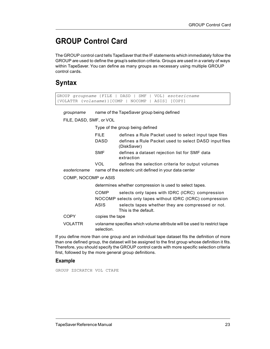# GROUP Control Card

The GROUP control card tells TapeSaver that the IF statements which immediately follow the GROUP are used to define the group's selection criteria. Groups are used in a variety of ways within TapeSaver. You can define as many groups as necessary using multiple GROUP control cards.

#### Syntax

```
GROUP groupname {FILE | DASD | SMF | VOL} esotericname
{VOLATTR (volaname)}[COMP | NOCOMP | ASIS] [COPY]
```
groupname name of the TapeSaver group being defined

FILE, DASD, SMF, or VOL

Type of the group being defined

|              | <b>FILE</b> | defines a Rule Packet used to select input tape files                |
|--------------|-------------|----------------------------------------------------------------------|
|              | <b>DASD</b> | defines a Rule Packet used to select DASD input files<br>(DiskSaver) |
|              | <b>SMF</b>  | defines a dataset rejection list for SMF data<br>extraction          |
|              | <b>VOL</b>  | defines the selection criteria for output volumes                    |
| esotericname |             | name of the esoteric unit defined in your data center                |

#### COMP, NOCOMP or ASIS

determines whether compression is used to select tapes.

|             | COMP            | selects only tapes with IDRC (ICRC) compression           |
|-------------|-----------------|-----------------------------------------------------------|
|             |                 | NOCOMP selects only tapes without IDRC (ICRC) compression |
|             | ASIS            | selects tapes whether they are compressed or not.         |
|             |                 | This is the default.                                      |
| <b>COPY</b> | copies the tape |                                                           |

VOLATTR volaname specifies which volume attribute will be used to restrict tape selection.

If you define more than one group and an individual tape dataset fits the definition of more than one defined group, the dataset will be assigned to the first group whose definition it fits. Therefore, you should specify the GROUP control cards with more specific selection criteria first, followed by the more general group definitions.

#### Example

GROUP ZSCRATCH VOL CTAPE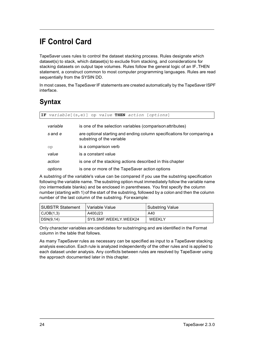# IF Control Card

TapeSaver uses rules to control the dataset stacking process. Rules designate which dataset(s) to stack, which dataset(s) to exclude from stacking, and considerations for stacking datasets on output tape volumes. Rules follow the general logic of an IF..THEN statement, a construct common to most computer programming languages. Rules are read sequentially from the SYSIN DD.

In most cases, the TapeSaver IF statements are created automatically by the TapeSaver ISPF interface.

#### Syntax

IF variable $[(s,e)]$  op value THEN action  $[optim]$ 

| variable | is one of the selection variables (comparison attributes)                                           |
|----------|-----------------------------------------------------------------------------------------------------|
| s and e  | are optional starting and ending column specifications for comparing a<br>substring of the variable |
| op       | is a comparison verb                                                                                |
| value    | is a constant value                                                                                 |
| action   | is one of the stacking actions described in this chapter                                            |
| options  | is one or more of the TapeSaver action options                                                      |

A substring of the variable's value can be compared if you use the substring specification following the variable name. The substring option must immediately follow the variable name (no intermediate blanks) and be enclosed in parentheses. You first specify the column number (starting with 1) of the start of the substring, followed by a colon and then the column number of the last column of the substring. For example:

| SUBSTR Statement | Variable Value        | Substring Value |
|------------------|-----------------------|-----------------|
| CJOB(1,3)        | A400J23               | A40             |
| DSN(9,14)        | SYS.SMF.WEEKLY.WEEK24 | <b>WEEKLY</b>   |

Only character variables are candidates for substringing and are identified in the Format column in the table that follows.

As many TapeSaver rules as necessary can be specified as input to a TapeSaver stacking analysis execution. Each rule is analyzed independently of the other rules and is applied to each dataset under analysis. Any conflicts between rules are resolved by TapeSaver using the approach documented later in this chapter.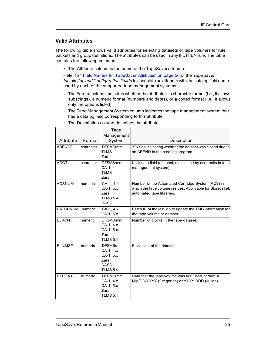#### Valid Attributes

The following table shows valid attributes for selecting datasets or tape volumes for rule packets and group definitions. The attributes can be used in any IF..THEN rule. The table contains the following columns:

• The Attribute column is the name of the TapeSaver attribute.

Refer to " Field Names for TapeSaver Attributes" on page 56 of the TapeSaver Installation and Configuration Guide to associate an attribute with the catalog field name used by each of the supported tape management systems.

- The Format column indicates whether the attribute is a character format (i.e., it allows substrings), a numeric format (numbers and dates), or a coded format (i.e., it allows only the options listed).
- The Tape Management System column indicates the tape management system that has a catalog field corresponding to this attribute.

|                 |           | Tape                   |                                                             |
|-----------------|-----------|------------------------|-------------------------------------------------------------|
|                 |           | Management             |                                                             |
| Attribute       | Format    | System                 | Description                                                 |
| <b>ABENDFL</b>  | character | <b>DFSMSrmm</b>        | Y/N flag indicating whether the dataset was closed due to   |
|                 |           | <b>TLMS</b>            | an ABEND in the creating program.                           |
|                 |           | Zara                   |                                                             |
| <b>ACCT</b>     | character | <b>DFSMSrmm</b>        | User data field (optional, maintained by user exits in tape |
|                 |           | $CA-1$                 | management system).                                         |
|                 |           | <b>TLMS</b>            |                                                             |
|                 |           | Zara                   |                                                             |
| <b>ACSNUM</b>   | numeric   | CA-1, 4.x              | Number of the Automated Cartridge System (ACS) in           |
|                 |           | CA-1, 5.x              | which the tape volume resides. Applicable for StorageTek    |
|                 |           | Zara                   | automated tape libraries.                                   |
|                 |           | <b>TLMS 5.4</b>        |                                                             |
|                 |           | <b>DASD</b>            |                                                             |
| <b>BATCHNUM</b> | numeric   | CA-1, 4.x              | Batch ID of the last job to update the TMC information for  |
|                 |           | CA-1, 5.x              | the tape volume or dataset.                                 |
| <b>BLKCNT</b>   | numeric   | <b>DFSMSrmm</b>        | Number of blocks in the tape dataset.                       |
|                 |           | $CA-1, 4.x$            |                                                             |
|                 |           | CA-1, 5.x<br>Zara      |                                                             |
|                 |           | <b>TLMS 5.4</b>        |                                                             |
|                 |           |                        |                                                             |
| <b>BLKSIZE</b>  | numeric   | <b>DFSMSrmm</b>        | Block size of the dataset.                                  |
|                 |           | CA-1, 4.x<br>CA-1, 5.x |                                                             |
|                 |           | Zara                   |                                                             |
|                 |           | <b>DASD</b>            |                                                             |
|                 |           | <b>TLMS 5.4</b>        |                                                             |
| <b>BTHDATE</b>  | numeric   | <b>DFSMSrmm</b>        | Date that the tape volume was first used, format =          |
|                 |           | CA-1, 4.x              | MM/DD/YYYY (Gregorian) or YYYY.DDD (Julian).                |
|                 |           | $CA-1, 5.x$            |                                                             |
|                 |           | Zara                   |                                                             |
|                 |           | <b>TLMS 5.4</b>        |                                                             |

• The Description column describes the attribute.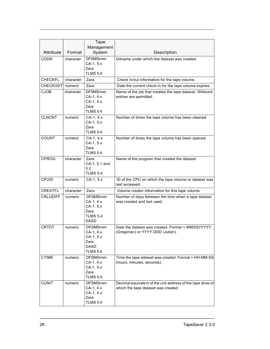|                 |           | Tape                                                                                |                                                                                                    |
|-----------------|-----------|-------------------------------------------------------------------------------------|----------------------------------------------------------------------------------------------------|
|                 |           | Management                                                                          |                                                                                                    |
| Attribute       | Format    | System                                                                              | Description                                                                                        |
| <b>CDDN</b>     | character | <b>DFSMSrmm</b><br>CA-1, 5.x<br>Zara<br><b>TLMS 5.4</b>                             | Ddname under which the dataset was created.                                                        |
| <b>CHECKFL</b>  | character | Zara                                                                                | Check in/out information for the tape volume.                                                      |
| CHECKXDT        | numeric   | Zara                                                                                | Date the current check-in for the tape volume expires.                                             |
| <b>CJOB</b>     | character | <b>DFSMSrmm</b><br>CA-1, 4.x<br>CA-1, 5.x<br>Zara<br><b>TLMS 5.4</b>                | Name of the job that created the tape dataset. Wildcard<br>entries are permitted.                  |
| <b>CLNCNT</b>   | numeric   | CA-1, 4.x<br>CA-1, 5.x<br>Zara<br><b>TLMS 5.4</b>                                   | Number of times the tape volume has been cleaned.                                                  |
| <b>COUNT</b>    | numeric   | CA-1, 4.x<br>CA-1, 5.x<br>Zara<br><b>TLMS 5.4</b>                                   | Number of times the tape volume has been opened.                                                   |
| CPROG           | character | Zara<br>CA-1, 5.1 and<br>5.2<br><b>TLMS 5.4</b>                                     | Name of the program that created the dataset.                                                      |
| CPUID           | numeric   | CA-1, 5.x                                                                           | ID of the CPU on which the tape volume or dataset was<br>last accessed.                            |
| CREATFL         | character | Zara                                                                                | Volume creator information for this tape volume.                                                   |
| <b>CRLUDIFF</b> | numeric   | <b>DFSMSrmm</b><br>CA-1, 4.x<br>CA-1, 5.x<br>Zara<br><b>TLMS 5.4</b><br><b>DASD</b> | Number of days between the time when a tape dataset<br>was created and last used.                  |
| <b>CRTDT</b>    | numeric   | <b>DFSMSrmm</b><br>CA-1, 4.x<br>CA-1, 5.x<br>Zara<br><b>DASD</b><br><b>TLMS 5.4</b> | Date the dataset was created. Format = MM/DD/YYYY<br>(Gregorian) or YYYY.DDD (Julian).             |
| <b>CTIME</b>    | numeric   | <b>DFSMSrmm</b><br>CA-1, 4.x<br>CA-1, 5.x<br>Zara<br><b>TLMS 5.4</b>                | Time the tape dataset was created. Format = HH:MM:SS<br>(hours, minutes, seconds).                 |
| <b>CUNIT</b>    | numeric   | <b>DFSMSrmm</b><br>CA-1, 4.x<br>CA-1, 5.x<br>Zara<br><b>TLMS 5.4</b>                | Decimal equivalent of the unit address of the tape drive on<br>which the tape dataset was created. |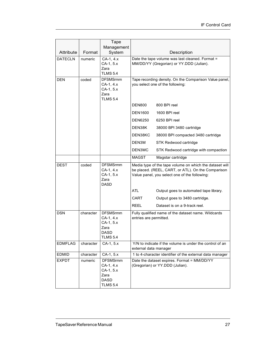|                |           | Tape                                                                                |                                                                                                                                                                |
|----------------|-----------|-------------------------------------------------------------------------------------|----------------------------------------------------------------------------------------------------------------------------------------------------------------|
|                |           | Management                                                                          |                                                                                                                                                                |
| Attribute      | Format    | System                                                                              | Description                                                                                                                                                    |
| <b>DATECLN</b> | numeric   | CA-1, 4.x<br>CA-1, 5.x<br>Zara<br><b>TLMS 5.4</b>                                   | Date the tape volume was last cleaned. Format =<br>MM/DD/YY (Gregorian) or YY.DDD (Julian).                                                                    |
| <b>DEN</b>     | coded     | <b>DFSMSrmm</b><br>CA-1, 4.x<br>CA-1, 5.x<br>Zara<br><b>TLMS 5.4</b>                | Tape recording density. On the Comparison Value panel,<br>you select one of the following:                                                                     |
|                |           |                                                                                     | <b>DEN800</b><br>800 BPI reel                                                                                                                                  |
|                |           |                                                                                     | <b>DEN1600</b><br>1600 BPI reel                                                                                                                                |
|                |           |                                                                                     | <b>DEN6250</b><br>6250 BPI reel                                                                                                                                |
|                |           |                                                                                     | DEN38K<br>38000 BPI 3480 cartridge                                                                                                                             |
|                |           |                                                                                     | DEN38KC<br>38000 BPI compacted 3480 cartridge                                                                                                                  |
|                |           |                                                                                     | DEN3M<br>STK Redwood cartridge                                                                                                                                 |
|                |           |                                                                                     | DEN3MC<br>STK Redwood cartridge with compaction                                                                                                                |
|                |           |                                                                                     | <b>MAGST</b><br>Magstar cartridge                                                                                                                              |
| <b>DEST</b>    | coded     | <b>DFSMSrmm</b><br>CA-1, 4.x<br>CA-1, 5.x<br>Zara<br><b>DASD</b>                    | Media type of the tape volume on which the dataset will<br>be placed. (REEL, CART, or ATL). On the Comparison<br>Value panel, you select one of the following: |
|                |           |                                                                                     | ATL<br>Output goes to automated tape library.                                                                                                                  |
|                |           |                                                                                     | CART<br>Output goes to 3480 cartridge.                                                                                                                         |
|                |           |                                                                                     | <b>REEL</b><br>Dataset is on a 9-track reel.                                                                                                                   |
| <b>DSN</b>     | character | <b>DFSMSrmm</b><br>CA-1, 4.x<br>CA-1, 5.x<br>Zara<br><b>DASD</b><br><b>TLMS 5.4</b> | Fully qualified name of the dataset name. Wildcards<br>entries are permitted.                                                                                  |
| <b>EDMFLAG</b> | character | CA-1, 5.x                                                                           | Y/N to indicate if the volume is under the control of an<br>external data manager                                                                              |
| <b>EDMID</b>   | character | CA-1, 5.x                                                                           | 1 to 4-character identifier of the external data manager                                                                                                       |
| <b>EXPDT</b>   | numeric   | <b>DFSMSrmm</b><br>CA-1, 4.x<br>CA-1, 5.x<br>Zara<br><b>DASD</b><br><b>TLMS 5.4</b> | Date the dataset expires. Format = MM/DD/YY<br>(Gregorian) or YY.DDD (Julian).                                                                                 |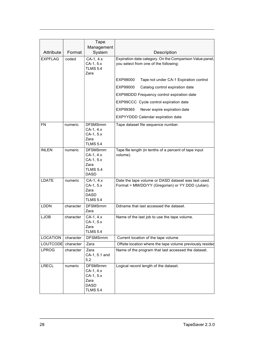| Attribute<br><b>EXPFLAG</b> | Format<br>coded | Tape<br>Management<br>System<br>CA-1, 4.x<br>CA-1, 5.x<br><b>TLMS 5.4</b><br>Zara   | Description<br>Expiration date category. On the Comparison Value panel,<br>you select from one of the following:<br>EXP98000<br>Tape not under CA-1 Expiration control<br>EXP99000<br>Catalog control expiration date<br>EXP98DDD Frequency control expiration date<br>EXP99CCC Cycle control expiration date |
|-----------------------------|-----------------|-------------------------------------------------------------------------------------|---------------------------------------------------------------------------------------------------------------------------------------------------------------------------------------------------------------------------------------------------------------------------------------------------------------|
|                             |                 |                                                                                     | EXP99365<br>Never expire expiration date<br>EXPYYDDD Calendar expiration date                                                                                                                                                                                                                                 |
| <b>FN</b>                   | numeric         | <b>DFSMSrmm</b><br>CA-1, 4.x<br>CA-1, 5.x<br>Zara<br><b>TLMS 5.4</b>                | Tape dataset file sequence number.                                                                                                                                                                                                                                                                            |
| <b>INLEN</b>                | numeric         | <b>DFSMSrmm</b><br>CA-1, 4.x<br>CA-1, 5.x<br>Zara<br><b>TLMS 5.4</b><br><b>DASD</b> | Tape file length (in tenths of a percent of tape input<br>volume).                                                                                                                                                                                                                                            |
| LDATE                       | numeric         | CA-1, 4.x<br>CA-1, 5.x<br>Zara<br><b>DASD</b><br><b>TLMS 5.4</b>                    | Date the tape volume or DASD dataset was last used.<br>Format = MM/DD/YY (Gregorian) or YY.DDD (Julian).                                                                                                                                                                                                      |
| LDDN                        | character       | <b>DFSMSrmm</b><br>Zara                                                             | Ddname that last accessed the dataset.                                                                                                                                                                                                                                                                        |
| LJOB                        | character       | CA-1, 4.x<br>CA-1, 5.x<br>Zara<br><b>TLMS 5.4</b>                                   | Name of the last job to use the tape volume.                                                                                                                                                                                                                                                                  |
| LOCATION                    | character       | <b>DFSMSrmm</b>                                                                     | Current location of the tape volume                                                                                                                                                                                                                                                                           |
| LOUTCODE                    | character       | Zara                                                                                | Offsite location where the tape volume previously resided                                                                                                                                                                                                                                                     |
| LPROG                       | character       | Zara<br>CA-1, 5.1 and<br>5.2                                                        | Name of the program that last accessed the dataset.                                                                                                                                                                                                                                                           |
| LRECL                       | numeric         | <b>DFSMSrmm</b><br>CA-1, 4.x<br>CA-1, 5.x<br>Zara<br><b>DASD</b><br><b>TLMS 5.4</b> | Logical record length of the dataset.                                                                                                                                                                                                                                                                         |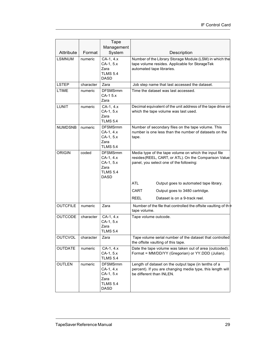| Attribute       | Format    | Tape<br>Management<br>System                                                        | Description                                                                                                                                               |
|-----------------|-----------|-------------------------------------------------------------------------------------|-----------------------------------------------------------------------------------------------------------------------------------------------------------|
| <b>LSMNUM</b>   | numeric   | CA-1, 4.x<br>CA-1, 5.x<br>Zara<br><b>TLMS 5.4</b><br>DASD                           | Number of the Library Storage Module (LSM) in which the<br>tape volume resides. Applicable for StorageTek<br>automated tape libraries.                    |
| <b>LSTEP</b>    | character | Zara                                                                                | Job step name that last accessed the dataset.                                                                                                             |
| <b>LTIME</b>    | numeric   | <b>DFSMSrmm</b><br>CA-1 5.x<br>Zara                                                 | Time the dataset was last accessed.                                                                                                                       |
| LUNIT           | numeric   | $CA-1, 4.x$<br>CA-1, 5.x<br>Zara<br><b>TLMS 5.4</b>                                 | Decimal equivalent of the unit address of the tape drive on<br>which the tape volume was last used.                                                       |
| <b>NUMDSNB</b>  | numeric   | <b>DFSMSrmm</b><br>CA-1, 4.x<br>CA-1, 5.x<br>Zara<br><b>TLMS 5.4</b>                | Number of secondary files on the tape volume. This<br>number is one less than the number of datasets on the<br>tape.                                      |
| <b>ORIGIN</b>   | coded     | <b>DFSMSrmm</b><br>CA-1, 4.x<br>CA-1, 5.x<br>Zara<br><b>TLMS 5.4</b><br><b>DASD</b> | Media type of the tape volume on which the input file<br>resides (REEL, CART, or ATL). On the Comparison Value<br>panel, you select one of the following: |
|                 |           |                                                                                     | <b>ATL</b><br>Output goes to automated tape library.<br>CART<br>Output goes to 3480 cartridge.<br><b>REEL</b><br>Dataset is on a 9-track reel.            |
| <b>OUTCFILE</b> | numeric   | Zara                                                                                | Number of the file that controlled the offsite vaulting of the<br>tape volume.                                                                            |
| <b>OUTCODE</b>  | character | CA-1, 4.x<br>CA-1, 5.x<br>Zara<br><b>TLMS 5.4</b>                                   | Tape volume outcode.                                                                                                                                      |
| <b>OUTCVOL</b>  | character | Zara                                                                                | Tape volume serial number of the dataset that controlled<br>the offsite vaulting of this tape.                                                            |
| <b>OUTDATE</b>  | numeric   | CA-1, 4.x<br>CA-1, 5.x<br><b>TLMS 5.4</b>                                           | Date the tape volume was taken out of area (outcoded).<br>Format = MM/DD/YY (Gregorian) or YY.DDD (Julian).                                               |
| <b>OUTLEN</b>   | numeric   | <b>DFSMSrmm</b><br>CA-1, 4.x<br>CA-1, 5.x<br>Zara<br><b>TLMS 5.4</b><br>DASD        | Length of dataset on the output tape (in tenths of a<br>percent). If you are changing media type, this length will<br>be different than INLEN.            |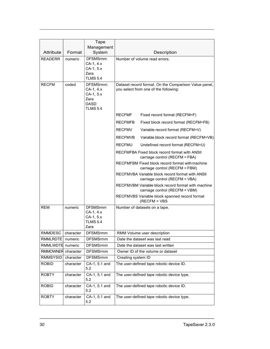|                                        |           | Tape                               |                                                                                      |
|----------------------------------------|-----------|------------------------------------|--------------------------------------------------------------------------------------|
|                                        |           | Management                         |                                                                                      |
| Attribute                              | Format    | System<br><b>DFSMSrmm</b>          | Description                                                                          |
| <b>READERR</b>                         | numeric   | CA-1, 4.x                          | Number of volume read errors.                                                        |
|                                        |           | CA-1, 5.x                          |                                                                                      |
|                                        |           | Zara<br><b>TLMS 5.4</b>            |                                                                                      |
| <b>RECFM</b>                           | coded     | <b>DFSMSrmm</b>                    | Dataset record format. On the Comparison Value panel,                                |
|                                        |           | CA-1, 4.x                          | you select from one of the following:                                                |
|                                        |           | $CA-1, 5.x$                        |                                                                                      |
|                                        |           | Zara<br><b>DASD</b>                |                                                                                      |
|                                        |           | <b>TLMS 5.4</b>                    | <b>RECFMF</b><br>Fixed record format (RECFM=F)                                       |
|                                        |           |                                    | Fixed block record format (RECFM=FB)<br><b>RECFMFB</b>                               |
|                                        |           |                                    | <b>RECFMV</b><br>Variable record format (RECFM=V)                                    |
|                                        |           |                                    | <b>RECFMVB</b><br>Variable block record format (RECFM=VB)                            |
|                                        |           |                                    | <b>RECFMU</b><br>Undefined record format (RECFM=U)                                   |
|                                        |           |                                    | RECFMFBA Fixed block record format with ANSII<br>carriage control (RECFM = FBA)      |
|                                        |           |                                    | RECFMFBM Fixed block record format with machine<br>carriage control (RECFM = FBM)    |
|                                        |           |                                    | RECFMVBA Variable block record format with ANSII<br>carriage control (RECFM = VBA)   |
|                                        |           |                                    | RECFMVBM Variable block record format with machine<br>carriage control (RECFM = VBM) |
|                                        |           |                                    | RECFMVBS Variable block spanned record format<br>$(RECFM = VBS)$                     |
| <b>REM</b>                             | numeric   | <b>DFSMSrmm</b>                    | Number of datasets on a tape.                                                        |
|                                        |           | CA-1, 4.x<br>CA-1, 5.x             |                                                                                      |
|                                        |           | <b>TLMS 5.4</b>                    |                                                                                      |
|                                        |           | Zara                               |                                                                                      |
| RMMDESC                                | character | <b>DFSMSrmm</b>                    | RMM Volume user description                                                          |
| RMMLRDTE                               | numeric   | <b>DFSMSrmm</b><br><b>DFSMSrmm</b> | Date the dataset was last read                                                       |
| RMMLWDTE numeric<br>RMMOWNER character |           | <b>DFSMSrmm</b>                    | Date the dataset was last written<br>Owner ID of the volume or dataset               |
| RMMSYSID                               | character | <b>DFSMSrmm</b>                    | Creating system ID                                                                   |
| <b>ROBID</b>                           | character | CA-1, 5.1 and                      | The user-defined tape robotic device ID.                                             |
|                                        |           | 5.2                                |                                                                                      |
| <b>ROBTY</b>                           | character | CA-1, 5.1 and<br>5.2               | The user-defined tape robotic device type.                                           |
| <b>ROBID</b>                           | character | CA-1, 5.1 and<br>5.2               | The user-defined tape robotic device ID.                                             |
| <b>ROBTY</b>                           | character | CA-1, 5.1 and<br>5.2               | The user-defined tape robotic device type.                                           |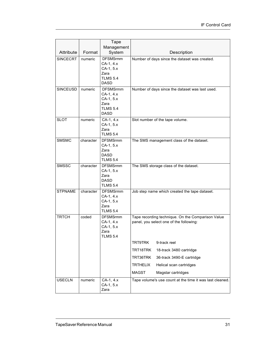|                |           | Tape<br>Management                                                                  |                                                                                              |
|----------------|-----------|-------------------------------------------------------------------------------------|----------------------------------------------------------------------------------------------|
| Attribute      | Format    | System                                                                              | Description                                                                                  |
| SINCECRT       | numeric   | <b>DFSMSrmm</b><br>CA-1, 4.x<br>CA-1, 5.x<br>Zara<br><b>TLMS 5.4</b><br><b>DASD</b> | Number of days since the dataset was created.                                                |
| SINCEUSD       | numeric   | <b>DFSMSrmm</b><br>CA-1, 4.x<br>CA-1, 5.x<br>Zara<br><b>TLMS 5.4</b><br><b>DASD</b> | Number of days since the dataset was last used.                                              |
| <b>SLOT</b>    | numeric   | CA-1, 4.x<br>CA-1, 5.x<br>Zara<br><b>TLMS 5.4</b>                                   | Slot number of the tape volume.                                                              |
| <b>SMSMC</b>   | character | <b>DFSMSrmm</b><br>CA-1, 5.x<br>Zara<br><b>DASD</b><br><b>TLMS 5.4</b>              | The SMS management class of the dataset.                                                     |
| <b>SMSSC</b>   | character | <b>DFSMSrmm</b><br>CA-1, 5.x<br>Zara<br><b>DASD</b><br><b>TLMS 5.4</b>              | The SMS storage class of the dataset.                                                        |
| <b>STPNAME</b> | character | <b>DFSMSrmm</b><br>CA-1, 4.x<br>CA-1, 5.x<br>Zara<br><b>TLMS 5.4</b>                | Job step name which created the tape dataset.                                                |
| <b>TRTCH</b>   | coded     | <b>DFSMSrmm</b><br>CA-1, 4.x<br>CA-1, 5.x<br>Zara<br><b>TLMS 5.4</b>                | Tape recording technique. On the Comparison Value<br>panel, you select one of the following: |
|                |           |                                                                                     | TRT9TRK<br>9-track reel                                                                      |
|                |           |                                                                                     | TRT18TRK<br>18-track 3480 cartridge                                                          |
|                |           |                                                                                     | TRT36TRK<br>36-track 3490-E cartridge                                                        |
|                |           |                                                                                     | <b>TRTHELIX</b><br>Helical scan cartridges                                                   |
|                |           |                                                                                     | <b>MAGST</b><br>Magstar cartridges                                                           |
| <b>USECLN</b>  | numeric   | CA-1, 4.x<br>CA-1, 5.x<br>Zara                                                      | Tape volume's use count at the time it was last cleaned.                                     |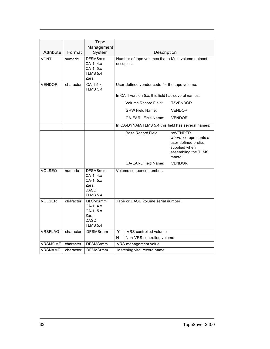|                |           | Tape                                                                                |                                                                 |                                                                                                                   |  |
|----------------|-----------|-------------------------------------------------------------------------------------|-----------------------------------------------------------------|-------------------------------------------------------------------------------------------------------------------|--|
|                |           | Management                                                                          |                                                                 |                                                                                                                   |  |
| Attribute      | Format    | System                                                                              | Description                                                     |                                                                                                                   |  |
| <b>VCNT</b>    | numeric   | <b>DFSMSrmm</b><br>CA-1, 4.x<br>CA-1, 5.x<br><b>TLMS 5.4</b><br>Zara                | Number of tape volumes that a Multi-volume dataset<br>occupies. |                                                                                                                   |  |
| <b>VENDOR</b>  | character | CA-1 5.x,<br><b>TLMS 5.4</b>                                                        | User-defined vendor code for the tape volume.                   |                                                                                                                   |  |
|                |           |                                                                                     | In CA-1 version 5.x, this field has several names:              |                                                                                                                   |  |
|                |           |                                                                                     | <b>Volume Record Field:</b>                                     | <b>T5VENDOR</b>                                                                                                   |  |
|                |           |                                                                                     | <b>GRW Field Name:</b>                                          | <b>VENDOR</b>                                                                                                     |  |
|                |           |                                                                                     | <b>CA-EARL Field Name:</b>                                      | <b>VENDOR</b>                                                                                                     |  |
|                |           |                                                                                     | In CA-DYNAM/TLMS 5.4 this field has several names:              |                                                                                                                   |  |
|                |           |                                                                                     | <b>Base Record Field:</b>                                       | <b>xxVENDER</b><br>where xx represents a<br>user-defined prefix,<br>supplied when<br>assembling the TLMS<br>macro |  |
|                |           |                                                                                     | CA-EARL Field Name:                                             | <b>VENDOR</b>                                                                                                     |  |
| <b>VOLSEQ</b>  | numeric   | <b>DFSMSrmm</b><br>CA-1, 4.x<br>CA-1, 5.x<br>Zara<br><b>DASD</b><br><b>TLMS 5.4</b> | Volume sequence number.                                         |                                                                                                                   |  |
| <b>VOLSER</b>  | character | <b>DFSMSrmm</b><br>CA-1, 4.x<br>CA-1, 5.x<br>Zara<br><b>DASD</b><br><b>TLMS 5.4</b> | Tape or DASD volume serial number.                              |                                                                                                                   |  |
| <b>VRSFLAG</b> | character | <b>DFSMSrmm</b>                                                                     | VRS controlled volume<br>Y                                      |                                                                                                                   |  |
|                |           |                                                                                     | Non-VRS controlled volume<br>N                                  |                                                                                                                   |  |
| <b>VRSMGMT</b> | character | <b>DFSMSrmm</b>                                                                     | VRS management value                                            |                                                                                                                   |  |
| VRSNAME        | character | <b>DFSMSrmm</b>                                                                     | Matching vital record name                                      |                                                                                                                   |  |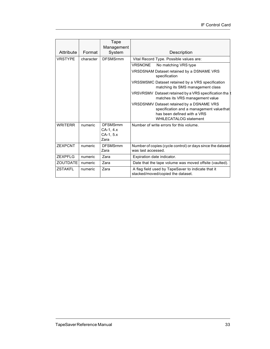|                 |           | Tape                                              |                                                                                                                                                        |
|-----------------|-----------|---------------------------------------------------|--------------------------------------------------------------------------------------------------------------------------------------------------------|
| Attribute       | Format    | Management<br>System                              | Description                                                                                                                                            |
| <b>VRSTYPE</b>  |           | <b>DFSMSrmm</b>                                   |                                                                                                                                                        |
|                 | character |                                                   | Vital Record Type. Possible values are:                                                                                                                |
|                 |           |                                                   | <b>VRSNONE</b><br>No matching VRS type                                                                                                                 |
|                 |           |                                                   | VRSDSNAM Dataset retained by a DSNAME VRS<br>specification                                                                                             |
|                 |           |                                                   | VRSSMSMC Dataset retained by a VRS specification<br>matching its SMS management class                                                                  |
|                 |           |                                                   | VRSVRSMV Dataset retained by a VRS specification tha t<br>matches its VRS management value                                                             |
|                 |           |                                                   | VRSDSNMV Dataset retained by a DSNAME VRS<br>specification and a management value that<br>has been defined with a VRS<br><b>WHILECATALOG statement</b> |
| <b>WRITERR</b>  | numeric   | <b>DFSMSrmm</b><br>CA-1, 4.x<br>CA-1, 5.x<br>Zara | Number of write errors for this volume.                                                                                                                |
| <b>ZEXPCNT</b>  | numeric   | <b>DFSMSrmm</b><br>Zara                           | Number of copies (cycle control) or days since the dataset<br>was last accessed.                                                                       |
| <b>ZEXPFLG</b>  | numeric   | Zara                                              | Expiration date indicator.                                                                                                                             |
| <b>ZOUTDATE</b> | numeric   | Zara                                              | Date that the tape volume was moved offsite (vaulted).                                                                                                 |
| <b>ZSTAKFL</b>  | numeric   | Zara                                              | A flag field used by TapeSaver to indicate that it<br>stacked/moved/copied the dataset.                                                                |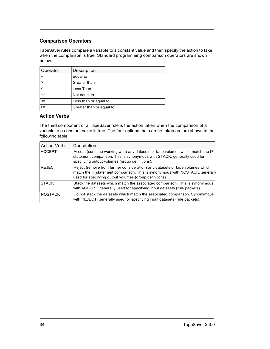#### Comparison Operators

TapeSaver rules compare a variable to a constant value and then specify the action to take when the comparison is true. Standard programming comparison operators are shown below:

| Operator | Description              |
|----------|--------------------------|
|          | Equal to                 |
|          | Greater than             |
|          | Less Than                |
| ¬=       | Not equal to             |
| $\leq$   | Less than or equal to    |
| $>=$     | Greater than or equal to |

#### Action Verbs

The third component of a TapeSaver rule is the action taken when the comparison of a variable to a constant value is true. The four actions that can be taken are are shown in the following table.

| <b>Action Verb</b> | Description                                                                                                                                                                                                               |
|--------------------|---------------------------------------------------------------------------------------------------------------------------------------------------------------------------------------------------------------------------|
| <b>ACCEPT</b>      | Accept (continue working with) any datasets or tape volumes which match the IF<br>statement comparison. This is synonymous with STACK, generally used for<br>specifying output volumes (group definitions).               |
| <b>REJECT</b>      | Reject (remove from further consideration) any datasets or tape volumes which<br>match the IF statement comparison. This is synonymous with NOSTACK, generally<br>used for specifying output volumes (group definitions). |
| <b>STACK</b>       | Stack the datasets which match the associated comparison. This is synonymous<br>with ACCEPT, generally used for specifying input datasets (rule packets).                                                                 |
| <b>NOSTACK</b>     | Do not stack the datasets which match the associated comparison. Synonymous<br>with REJECT, generally used for specifying input datasets (rule packets).                                                                  |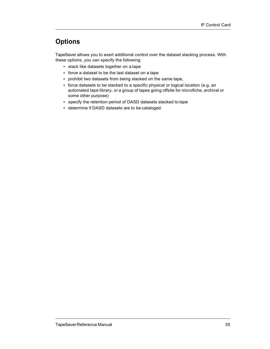#### **Options**

TapeSaver allows you to exert additional control over the dataset stacking process. With these options, you can specify the following:

- stack like datasets together on a tape
- force a dataset to be the last dataset on a tape
- prohibit two datasets from being stacked on the same tape,
- force datasets to be stacked to a specific physical or logical location (e.g. an automated tape library, or a group of tapes going offsite for microfiche, archival or some other purpose)
- specify the retention period of DASD datasets stacked to tape
- determine if DASD datasets are to be cataloged.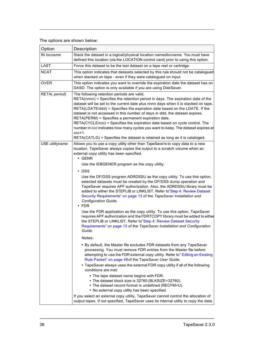#### The options are shown below:

| Option          | Description                                                                                                                                                                                                                                                                                                                                                                                                                                                                                                                                                                                                                                                                                                                                                                                                                                                                                                                                                                                                                                                                                                                                                                                                                                                                                                                                                                                                                                                                                   |
|-----------------|-----------------------------------------------------------------------------------------------------------------------------------------------------------------------------------------------------------------------------------------------------------------------------------------------------------------------------------------------------------------------------------------------------------------------------------------------------------------------------------------------------------------------------------------------------------------------------------------------------------------------------------------------------------------------------------------------------------------------------------------------------------------------------------------------------------------------------------------------------------------------------------------------------------------------------------------------------------------------------------------------------------------------------------------------------------------------------------------------------------------------------------------------------------------------------------------------------------------------------------------------------------------------------------------------------------------------------------------------------------------------------------------------------------------------------------------------------------------------------------------------|
| IN locname      | Stack the dataset in a logical/physical location namedlocname. You must have<br>defined this location (via the LOCATION control card) prior to using this option.                                                                                                                                                                                                                                                                                                                                                                                                                                                                                                                                                                                                                                                                                                                                                                                                                                                                                                                                                                                                                                                                                                                                                                                                                                                                                                                             |
| LAST            | Force this dataset to be the last dataset on a tape reel or cartridge.                                                                                                                                                                                                                                                                                                                                                                                                                                                                                                                                                                                                                                                                                                                                                                                                                                                                                                                                                                                                                                                                                                                                                                                                                                                                                                                                                                                                                        |
| <b>NCAT</b>     | This option indicates that datasets selected by this rule should not be catalogued<br>when stacked on tape - even if they were catalogued on input.                                                                                                                                                                                                                                                                                                                                                                                                                                                                                                                                                                                                                                                                                                                                                                                                                                                                                                                                                                                                                                                                                                                                                                                                                                                                                                                                           |
| <b>OVER</b>     | This option indicates you want to override the expiration date the dataset has on<br>DASD. The option is only available if you are using DiskSaver.                                                                                                                                                                                                                                                                                                                                                                                                                                                                                                                                                                                                                                                                                                                                                                                                                                                                                                                                                                                                                                                                                                                                                                                                                                                                                                                                           |
| RETA( period)   | The following retention periods are valid.<br>RETA(nnnn) = Specifies the retention period in days. The expiration date of the<br>dataset will be set to the current date plus nnnn days when it is stacked on tape.<br>RETA(LDATE/ddd) = Specifies the expiration date based on the LDATE. If the<br>dataset is not accessed in this number of days in ddd, the dataset expires.<br>RETA(PERM) = Specifies a permanent expiration date.<br>RETA(CYCLE/ccc) = Specifies the expiration date based on cycle control. The<br>number in ccc indicates how many cycles you want to keep. The dataset expires at<br>ccc+1.<br>RETA(CATLG) = Specifies the dataset is retained as long as it is cataloged.                                                                                                                                                                                                                                                                                                                                                                                                                                                                                                                                                                                                                                                                                                                                                                                           |
| USE utilityname | Allows you to use a copy utility other than TapeSave'rs to copy data to a new<br>location. TapeSaver always copies the output to a scratch volume when an<br>external copy utility has been specified.<br>$\cdot$ GENR<br>Use the IEBGENER program as the copy utility.<br>$\cdot$ DSS<br>Use the DF/DSS program ADRDSSU as the copy utility. To use this option,<br>selected datasets must be created by the DF/DSS dump operation and<br>TapeSaver requires APF authorization. Also, the ADRDSSU library must be<br>added to either the STEPLIB or LINKLIST. Refer to"Step 4: Review Dataset<br>Security Requirements" on page 13 of the TapeSaver Installation and<br>Configuration Guide.<br>$\cdot$ FDR<br>Use the FDR application as the copy utility. To use this option, TapeSaver<br>requires APF authorization and the FDRTCOPY library must be added to either<br>the STEPLIB or LINKLIST. Refer to"Step 4: Review Dataset Security<br>Requirements" on page 13 of the TapeSaver Installation and Configuration<br>Guide.<br>Notes:<br>• By default, the Master file excludes FDR datasets from any TapeSaver<br>processing. You must remove FDR entries from the Master file before<br>attempting to use the FDR external copy utility. Refer to" Editing an Existing<br>Rule Packet" on page 48 of the TapeSaver User Guide.<br>• TapeSaver always uses the external FDR copy utility if all of the following<br>conditions are met:<br>• The tape dataset name begins with FDR. |
|                 | • The dataset block size is 32760 (BLKSIZE=32760).<br>• The dataset record format is undefined (RECFM=U).<br>• No external copy utility has been specified.                                                                                                                                                                                                                                                                                                                                                                                                                                                                                                                                                                                                                                                                                                                                                                                                                                                                                                                                                                                                                                                                                                                                                                                                                                                                                                                                   |
|                 | If you select an external copy utility, TapeSaver cannot control the allocation of<br>output tapes. If not specified, TapeSaver uses its internal utility to copy the data.                                                                                                                                                                                                                                                                                                                                                                                                                                                                                                                                                                                                                                                                                                                                                                                                                                                                                                                                                                                                                                                                                                                                                                                                                                                                                                                   |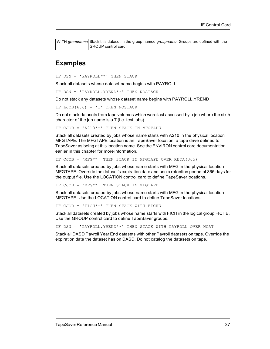WITH groupname Stack this dataset in the group named groupname. Groups are defined with the GROUP control card.

#### Examples

IF DSN = 'PAYROLL\*\*' THEN STACK

Stack all datasets whose dataset name begins with PAYROLL

IF DSN = 'PAYROLL.YREND\*\*' THEN NOSTACK

Do not stack any datasets whose dataset name begins with PAYROLL.YREND

IF LJOB $(6, 6)$  = 'T' THEN NOSTACK

Do not stack datasets from tape volumes which were last accessed by a job where the sixth character of the job name is a T (i.e. test jobs).

IF CJOB = 'A210\*\*' THEN STACK IN MFGTAPE

Stack all datasets created by jobs whose name starts with A210 in the physical location MFGTAPE. The MFGTAPE location is an TapeSaver location; a tape drive defined to TapeSaver as being at this location name. See the ENVIRON control card documentation earlier in this chapter for more information.

IF CJOB = 'MFG\*\*' THEN STACK IN MFGTAPE OVER RETA(365)

Stack all datasets created by jobs whose name starts with MFG in the physical location MFGTAPE. Override the dataset's expiration date and use a retention period of 365 days for the output file. Use the LOCATION control card to define TapeSaver locations.

IF CJOB = 'MFG\*\*' THEN STACK IN MFGTAPE

Stack all datasets created by jobs whose name starts with MFG in the physical location MFGTAPE. Use the LOCATION control card to define TapeSaver locations.

IF CJOB = 'FICH\*\*' THEN STACK WITH FICHE

Stack all datasets created by jobs whose name starts with FICH in the logical group FICHE. Use the GROUP control card to define TapeSaver groups.

IF DSN = 'PAYROLL.YREND\*\*' THEN STACK WITH PAYROLL OVER NCAT

Stack all DASD Payroll Year End datasets with other Payroll datasets on tape. Override the expiration date the dataset has on DASD. Do not catalog the datasets on tape.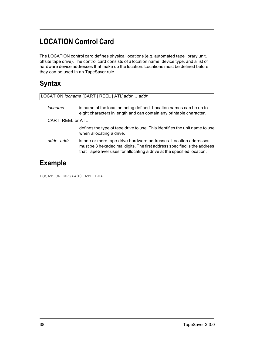# LOCATION Control Card

The LOCATION control card defines physical locations (e.g. automated tape library unit, offsite tape drive). The control card consists of a location name, device type, and a list of hardware device addresses that make up the location. Locations must be defined before they can be used in an TapeSaver rule.

## **Syntax**

|                   | LOCATION locname [CART   REEL   ATL]addr  addr                                                                                                                                                                        |
|-------------------|-----------------------------------------------------------------------------------------------------------------------------------------------------------------------------------------------------------------------|
| locname           | is name of the location being defined. Location names can be up to<br>eight characters in length and can contain any printable character.                                                                             |
| CART, REEL or ATL |                                                                                                                                                                                                                       |
|                   | defines the type of tape drive to use. This identifies the unit name to use<br>when allocating a drive.                                                                                                               |
| addraddr          | is one or more tape drive hardware addresses. Location addresses<br>must be 3 hexadecimal digits. The first address specified is the address<br>that TapeSaver uses for allocating a drive at the specified location. |
| <b>Example</b>    |                                                                                                                                                                                                                       |

LOCATION MFG4400 ATL B04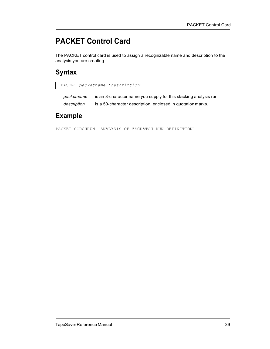# PACKET Control Card

The PACKET control card is used to assign a recognizable name and description to the analysis you are creating.

#### **Syntax**

PACKET packetname 'description'

packetname is an 8-character name you supply for this stacking analysis run. description is a 50-character description, enclosed in quotation marks.

#### Example

PACKET SCRCHRUN 'ANALYSIS OF ZSCRATCH RUN DEFINITION'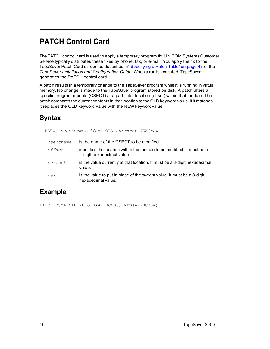# PATCH Control Card

The PATCH control card is used to apply a temporary program fix. UNICOM Systems Customer Service typically distributes these fixes by phone, fax, or e-mail. You apply the fix to the TapeSaver Patch Card screen as described in" Specifying a Patch Table" on page 47 of the TapeSaver Installation and Configuration Guide. When a run is executed, TapeSaver generates the PATCH control card.

A patch results in a temporary change to the TapeSaver program while it is running in virtual memory. No change is made to the TapeSaver program stored on disk. A patch alters a specific program module (CSECT) at a particular location (offset) within that module. The patch compares the current contents in that location to the OLD keyword value. If it matches, it replaces the OLD keyword value with the NEW keyword value.

# **Syntax**

|           | PATCH csectname+offset OLD(current) NEW(new)                                                         |
|-----------|------------------------------------------------------------------------------------------------------|
| csectname | is the name of the CSECT to be modified.                                                             |
| offset    | identifies the location within the module to be modified. It must be a<br>4-digit hexadecimal value. |
| current   | is the value currently at that location. It must be a 8-digit hexadecimal<br>value.                  |
| new       | is the value to put in place of the <i>current</i> value. It must be a 8-digit<br>hexadecimal value. |

### Example

PATCH TSMAIN+012E OLD(47F0C000) NEW(47F0C004)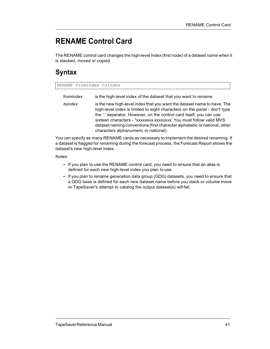# RENAME Control Card

The RENAME control card changes the high-level index (first node) of a dataset name when it is stacked, moved or copied.

### Syntax

RENAME fromindex toindex

| fromindex | is the high-level index of the dataset that you want to rename                                                                                                                                                                                                                                                                                                                                                               |
|-----------|------------------------------------------------------------------------------------------------------------------------------------------------------------------------------------------------------------------------------------------------------------------------------------------------------------------------------------------------------------------------------------------------------------------------------|
| toindex   | is the new high-level index that you want the dataset name to have. The<br>high-level index is limited to eight characters on the panel - don't type<br>the '.' separator. However, on the control card itself, you can use<br>sixteen characters - "xxxxxxxxxxxxxxxxxxxxx". You must follow valid MVS<br>dataset naming conventions (first character alphabetic or national, other<br>characters alphanumeric or national). |

You can specify as many RENAME cards as necessary to implement the desired renaming. If a dataset is flagged for renaming during the forecast process, the Forecast Report shows the dataset's new high-level index.

Notes:

- If you plan to use the RENAME control card, you need to ensure that an alias is defined for each new high-level index you plan to use.
- If you plan to rename generation data group (GDG) datasets, you need to ensure that a GDG base is defined for each new dataset name before you stack or volume move or TapeSaver's attempt to catalog the output dataset(s) will fail.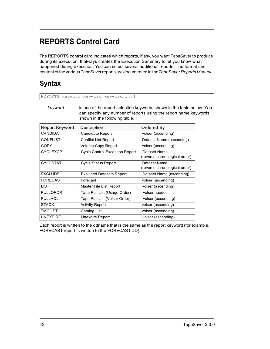# REPORTS Control Card

REPORTS keyword[keyword keyword ...]

The REPORTS control card indicates which reports, if any, you want TapeSaver to produce during its execution. It always creates the Execution Summary to let you know what happened during execution. You can select several additional reports. The format and content of the various TapeSaver reports are documented in the TapeSaver Reports Manual..

## **Syntax**

| kevword | is one of the report selection keywords shown in the table below. You<br>can specify any number of reports using the report name keywords |
|---------|-------------------------------------------------------------------------------------------------------------------------------------------|
|         |                                                                                                                                           |
|         | shown in the following table.                                                                                                             |

| Report Keyword  | Description                           | Ordered By                                    |
|-----------------|---------------------------------------|-----------------------------------------------|
| CANDIDAT        | Candidate Report                      | volser (ascending)                            |
| <b>CONFLIST</b> | <b>Conflict List Report</b>           | Dataset Name (ascending)                      |
| <b>COPY</b>     | Volume Copy Report                    | volser (ascending)                            |
| <b>CYCLEXCP</b> | <b>Cycle Control Exception Report</b> | Dataset Name<br>(reverse chronological order) |
| <b>CYCLSTAT</b> | <b>Cycle Status Report</b>            | Dataset Name<br>(reverse chronological order) |
| <b>EXCLUDE</b>  | <b>Excluded Datasets Report</b>       | Dataset Name (ascending)                      |
| <b>FORECAST</b> | Forecast                              | volser (ascending)                            |
| <b>LIST</b>     | Master File List Report               | volser (ascending)                            |
| <b>PULLORDR</b> | Tape Pull List (Usage Order)          | volser needed                                 |
| <b>PULLVOL</b>  | Tape Pull List (Volser Order)         | volser (ascending)                            |
| <b>STACK</b>    | <b>Activity Report</b>                | volser (ascending)                            |
| TMCLIST         | Catalog List                          | volser (ascending)                            |
| <b>UNEXPIRE</b> | Unexpire Report                       | volser (ascending)                            |

Each report is written to the ddname that is the same as the report keyword (for example, FORECAST report is written to the FORECAST DD).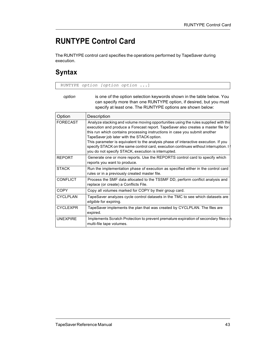# RUNTYPE Control Card

The RUNTYPE control card specifies the operations performed by TapeSaver during execution.

#### **Syntax**

RUNTYPE option [option option ...]

| option | is one of the option selection keywords shown in the table below. You |
|--------|-----------------------------------------------------------------------|
|        | can specify more than one RUNTYPE option, if desired, but you must    |
|        | specify at least one. The RUNTYPE options are shown below:            |

| Option          | Description                                                                                                                                                                                                                                                                                                                                                                                                                                                                                                                               |
|-----------------|-------------------------------------------------------------------------------------------------------------------------------------------------------------------------------------------------------------------------------------------------------------------------------------------------------------------------------------------------------------------------------------------------------------------------------------------------------------------------------------------------------------------------------------------|
| <b>FORECAST</b> | Analyze stacking and volume moving opportunities using the rules supplied with this<br>execution and produce a Forecast report. TapeSaver also creates a master file for<br>this run which contains processing instructions in case you submit another<br>TapeSaver job later with the STACK option.<br>This parameter is equivalent to the analysis phase of interactive execution. If you<br>specify STACK on the same control card, execution continues without interruption. I<br>you do not specify STACK, execution is interrupted. |
| <b>REPORT</b>   | Generate one or more reports. Use the REPORTS control card to specify which<br>reports you want to produce.                                                                                                                                                                                                                                                                                                                                                                                                                               |
| <b>STACK</b>    | Run the implementation phase of execution as specified either in the control card<br>rules or in a previously created master file.                                                                                                                                                                                                                                                                                                                                                                                                        |
| <b>CONFLICT</b> | Process the SMF data allocated to the TSSMF DD, perform conflict analysis and<br>replace (or create) a Conflicts File.                                                                                                                                                                                                                                                                                                                                                                                                                    |
| <b>COPY</b>     | Copy all volumes marked for COPY by their group card.                                                                                                                                                                                                                                                                                                                                                                                                                                                                                     |
| <b>CYCLPLAN</b> | TapeSaver analyzes cycle control datasets in the TMC to see which datasets are<br>eligible for expiring.                                                                                                                                                                                                                                                                                                                                                                                                                                  |
| <b>CYCLEXPR</b> | TapeSaver implements the plan that was created by CYCLPLAN. The files are<br>expired.                                                                                                                                                                                                                                                                                                                                                                                                                                                     |
| <b>UNEXPIRE</b> | Implements Scratch Protection to prevent premature expiration of secondary files o $\mathsf h$<br>multi-file tape volumes.                                                                                                                                                                                                                                                                                                                                                                                                                |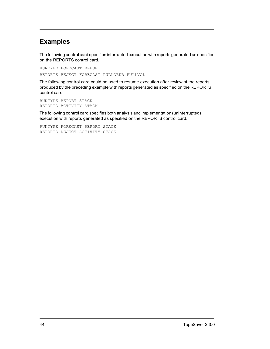#### Examples

The following control card specifies interrupted execution with reports generated as specified on the REPORTS control card.

RUNTYPE FORECAST REPORT REPORTS REJECT FORECAST PULLORDR PULLVOL

The following control card could be used to resume execution after review of the reports produced by the preceding example with reports generated as specified on the REPORTS control card.

RUNTYPE REPORT STACK REPORTS ACTIVITY STACK

The following control card specifies both analysis and implementation (uninterrupted) execution with reports generated as specified on the REPORTS control card.

RUNTYPE FORECAST REPORT STACK REPORTS REJECT ACTIVITY STACK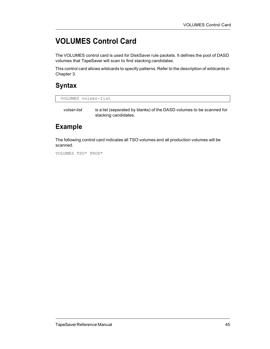# VOLUMES Control Card

The VOLUMES control card is used for DiskSaver rule packets. It defines the pool of DASD volumes that TapeSaver will scan to find stacking candidates.

This control card allows wildcards to specify patterns. Refer to the description of wildcards in Chapter 3.

## **Syntax**

```
VOLUMES volser-list
```
volser-list is a list (separated by blanks) of the DASD volumes to be scanned for stacking candidates.

### Example

The following control card indicates all TSO volumes and all production volumes will be scanned.

VOLUMES TSO\* PROD\*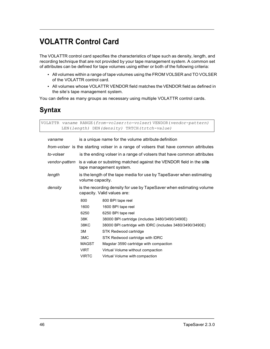# VOLATTR Control Card

The VOLATTR control card specifies the characteristics of tape such as density, length, and recording technique that are not provided by your tape management system. A common set of attributes can be defined for tape volumes using either or both of the following criteria:

- All volumes within a range of tape volumes using the FROM VOLSER and TO VOLSER of the VOLATTR control card.
- All volumes whose VOLATTR VENDOR field matches the VENDOR field as defined in the site's tape management system.

You can define as many groups as necessary using multiple VOLATTR control cards.

## **Syntax**

VOLATTR vaname RANGE(from-volser:to-volser) VENDOR(vendor-pattern) LEN(length) DEN(density) TRTCH(trtch-value)

| vaname    | is a unique name for the volume attribute definition                                                            |                                                          |
|-----------|-----------------------------------------------------------------------------------------------------------------|----------------------------------------------------------|
|           | <i>from-volser</i> is the starting volser in a range of volsers that have common attributes                     |                                                          |
| to-volser | is the ending volser in a range of volsers that have common attributes                                          |                                                          |
|           | vendor-pattern is a value or substring matched against the VENDOR field in the sites<br>tape management system. |                                                          |
| length    | is the length of the tape media for use by TapeSaver when estimating<br>volume capacity.                        |                                                          |
| density   | is the recording density for use by TapeSaver when estimating volume<br>capacity. Valid values are:             |                                                          |
|           | 800                                                                                                             | 800 BPI tape reel                                        |
|           | 1600                                                                                                            | 1600 BPI tape reel                                       |
|           | 6250                                                                                                            | 6250 BPI tape reel                                       |
|           | 38K                                                                                                             | 38000 BPI cartridge (includes 3480/3490/3490E)           |
|           | 38KC                                                                                                            | 38000 BPI cartridge with IDRC (includes 3480/3490/3490E) |
|           | 3M                                                                                                              | STK Redwood cartridge                                    |
|           | 3MC                                                                                                             | STK Redwood cartridge with IDRC                          |
|           | <b>MAGST</b>                                                                                                    | Magstar 3590 cartridge with compaction                   |
|           | <b>VIRT</b>                                                                                                     | Virtual Volume without compaction                        |
|           | <b>VIRTC</b>                                                                                                    | Virtual Volume with compaction                           |
|           |                                                                                                                 |                                                          |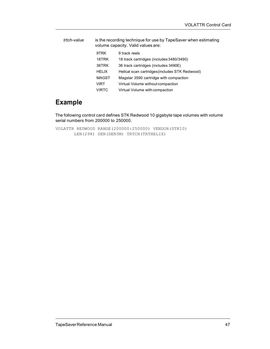| trtch-value |              | is the recording technique for use by TapeSaver when estimating<br>volume capacity. Valid values are: |
|-------------|--------------|-------------------------------------------------------------------------------------------------------|
|             | 9TRK         | 9 track reels                                                                                         |
|             | 18TRK        | 18 track cartridges (includes 3480/3490)                                                              |
|             | 36TRK        | 36 track cartridges (includes 3490E)                                                                  |
|             | <b>HELIX</b> | Helical scan cartridges (includes STK Redwood)                                                        |
|             | <b>MAGST</b> | Magstar 3590 cartridge with compaction                                                                |
|             | VIRT         | Virtual Volume without compaction                                                                     |
|             | VIRTC        | Virtual Volume with compaction                                                                        |
|             |              |                                                                                                       |

### Example

The following control card defines STK Redwood 10 gigabyte tape volumes with volume serial numbers from 200000 to 250000.

VOLATTR REDWOOD RANGE(200000:250000) VENDOR(STK10) LEN(298) DEN(DEN3M) TRTCH(TRTHELIX)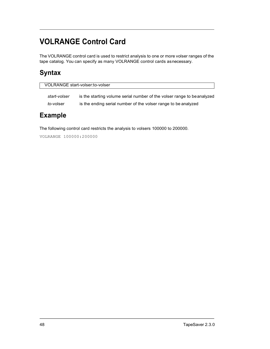# VOLRANGE Control Card

The VOLRANGE control card is used to restrict analysis to one or more volser ranges of the tape catalog. You can specify as many VOLRANGE control cards as necessary.

## **Syntax**

| VOLRANGE start-volser: to-volser |                                                                         |  |
|----------------------------------|-------------------------------------------------------------------------|--|
| start-volser                     | is the starting volume serial number of the volser range to be analyzed |  |
| to-volser                        | is the ending serial number of the volser range to be analyzed          |  |

#### Example

The following control card restricts the analysis to volsers 100000 to 200000.

VOLRANGE 100000:200000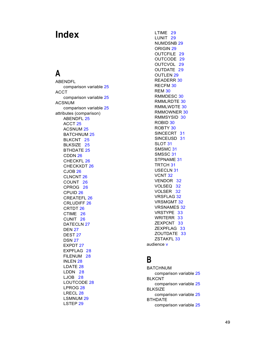# Index

ABENDFL comparison variable 25 ACCT comparison variable 25 ACSNUM **EXECUTE:** RMMLRDTE 30 comparison variable 25 attributes (comparison) ABENDFL 25 ACCT 25 ACSNUM 25 BATCHNUM 25 BLKCNT 25 BLKSIZE 25 BTHDATE 25 CDDN 26 CHECKFL 26 CHECKXDT 26 CJOB 26 CLNCNT 26 COUNT 26 CPROG 26 CPUID 26 CREATEFL 26 CRLUDIFF 26 CRTDT 26 CTIME 26 CUNIT 26 DATECLN 27 DEN 27 DEST<sub>27</sub> DSN 27 EXPDT 27 EXPFLAG 28 FILENUM 28  $\overline{B}$ INLEN 28 LDATE 28 LDDN 28 LJOB 28 LOUTCODE 28 LPROG 28 LRECL 28 LSMNUM 29 LSTEP 29

 $\overline{\mathsf{A}}$  and  $\overline{\mathsf{A}}$  and  $\overline{\mathsf{A}}$ LTIME 29 LUNIT 29 NUMDSNB 29 ORIGIN 29 OUTCFILE 29 OUTCODE 29 OUTCVOL 29 OUTDATE 29 OUTLEN 29 READERR 30 RECFM 30 REM 30 RMMDESC 30 RMMLWDTE 30 RMMOWNER 30 RMMSYSID 30 ROBID 30 ROBTY 30 SINCECRT 31 SINCEUSD 31 SLOT 31 SMSMC 31 SMSSC 31 STPNAME 31 TRTCH 31 USECLN 31 VCNT 32 VENDOR 32 VOLSEQ 32 VOLSER 32 VRSFLAG 32 VRSMGMT 32 VRSNAMES 32 VRSTYPE 33 WRITERR 33 ZEXPCNT 33 ZEXPFLAG 33 ZOUTDATE 33 ZSTAKFL 33 audience v

# B<sub>a</sub> Barat and the second second second second second second second second second second second second second second

BATCHNUM comparison variable 25 BLKCNT comparison variable 25 BLKSIZE comparison variable 25 BTHDATE comparison variable 25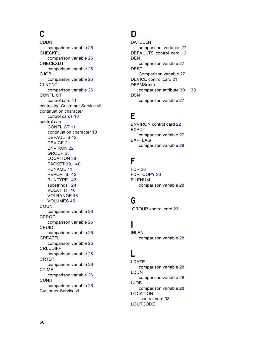comparison variable 26 CHECKFL comparison variable 26 CHECKXDT comparison variable 26 CJOB comparison variable 26 CLNCNT comparison variable 26 CONFLICT control card 11 contacting Customer Service vii continuation character  $\frac{1}{2}$  control cards 10 control card CONFLICT 11 continuation character 10 DEFAULTS 12 DEVICE 21 ENVIRON 22 GROUP 23 LOCATION 38 PACKET 39, 40 RENAME 41 REPORTS 42 RUNTYPE 43 substrings 24 VOLATTR 46 VOLRANGE 48<br>VOLUMES 45 VOLUMES 45 COUNT comparison variable 26 CPROG comparison variable 26 CPUID comparison variable 26 CREATFL comparison variable 26 CRLUDIFF<br>comparison variable 26 comparison variable 26 CRTDT comparison variable 26 CTIME LDDN comparison variable 26 CUNIT comparison variable 26 Customer Service vi

#### C<sub>D</sub> D<sub>a</sub> based on the set of the set of the set of the set of the set of the set of the set of the set of the set of the set of the set of the set of the set of the set of the set of the set of the set of the set of the set of

CDDN DATECLN comparison variable 27 DEFAULTS control card 12 **DEN DEN** comparison variable 27 DEST Comparison variable 27 DEVICE control card 21 DFSMSrmm comparison attribute 30– 33 **DSN DSN DSN** comparison variable 27

## E a construction of the second construction of the second construction of the second construction of the second construction of the second construction of the second construction of the second construction of the second co

ENVIRON control card 22 EXPDT comparison variable 27 EXPFLAG comparison variable 28

# Fig. 2005 and 2007 and 2007 and 2007 and 2007 and 2007 and 2007 and 2007 and 2007

FDR 36 FDRTCOPY 36 FILENUM comparison variable 28

### G<sub>er</sub> Constantinople of the Constantinople of the Constantinople of the Constantinople of the Constantinople of the Constantinople of the Constantinople of the Constantinople of the Constantinople of the Constantinople of

GROUP control card 23

# **I** and the state

INLEN comparison variable 28

#### Letter and the state of the state of the state of the state of the state of the state of the state of the state of the state of the state of the state of the state of the state of the state of the state of the state of the

LDATE comparison variable 28 LDDN comparison variable 28 LJOB comparison variable 28 LOCATION control card 38 LOUTCODE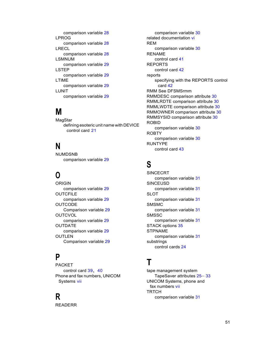comparison variable 28 comparison variable 28 LRECL comparison variable 28 comparison variable 29 LSTEP comparison variable 29 LTIME comparison variable 29 LUNIT comparison variable 29

MagStar defining esoteric unit name with DEVICE control card 21

NUMDSNB comparison variable 29

comparison variable 29 **OUTCFILE** comparison variable 29 **OUTCODE** Comparison variable 29 **OUTCVOL** comparison variable 29 OUTDATE STACK options 35 comparison variable 29 OUTLEN comparison variable 31 Comparison variable 29

# P<sub>r</sub>

PACKET **T** control card 39, 40 Phone and fax numbers, UNICOM Systems vii

READERR

**LPROG Related documentation vi** LSMNUM and the control card 41 control card 41 M RMMOWNER comparison attribute 30  $N$ comparison variable 30 REM comparison variable 30 RENAME REPORTS control card 42 reports specifying with the REPORTS control card 42 RMM See DFSMSrmm RMMDESC comparison attribute 30 RMMLRDTE comparison attribute 30 RMMLWDTE comparison attribute 30 RMMSYSID comparison attribute 30 ROBID comparison variable 30 ROBTY comparison variable 30 RUNTYPE control card 43

# S<sub>s</sub> and the state of the state of the state of the state of the state of the state of the state of the state of the state of the state of the state of the state of the state of the state of the state of the state of the s

**O** ORIGIN SINCEUSD SINCECRT comparison variable 31 comparison variable 31 SLOT comparison variable 31 SMSMC comparison variable 31 **SMSSC** comparison variable 31 STPNAME substrings control cards 24

# $\mathbf{T}$  and the set of  $\mathbf{I}$

**R** co tape management system TapeSaver attributes 25– 33 UNICOM Systems, phone and fax numbers vii **TRTCH** comparison variable 31